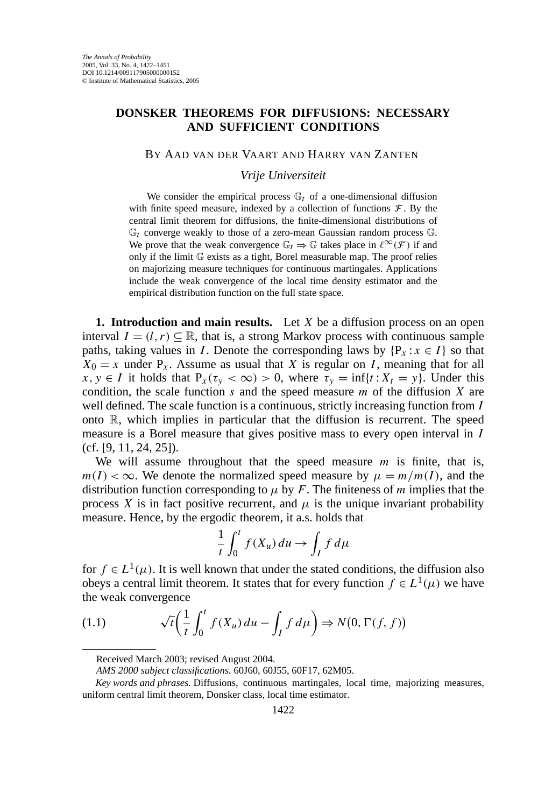## **DONSKER THEOREMS FOR DIFFUSIONS: NECESSARY AND SUFFICIENT CONDITIONS**

## BY AAD VAN DER VAART AND HARRY VAN ZANTEN

*Vrije Universiteit*

We consider the empirical process  $\mathbb{G}_t$  of a one-dimensional diffusion with finite speed measure, indexed by a collection of functions  $\mathcal F$ . By the central limit theorem for diffusions, the finite-dimensional distributions of  $\mathbb{G}_t$  converge weakly to those of a zero-mean Gaussian random process  $\mathbb{G}$ . We prove that the weak convergence  $\mathbb{G}_t \Rightarrow \mathbb{G}$  takes place in  $\ell^{\infty}(\mathcal{F})$  if and only if the limit G exists as a tight, Borel measurable map. The proof relies on majorizing measure techniques for continuous martingales. Applications include the weak convergence of the local time density estimator and the empirical distribution function on the full state space.

**1. Introduction and main results.** Let *X* be a diffusion process on an open interval  $I = (l, r) \subseteq \mathbb{R}$ , that is, a strong Markov process with continuous sample paths, taking values in *I*. Denote the corresponding laws by  $\{P_x : x \in I\}$  so that  $X_0 = x$  under  $P_x$ . Assume as usual that *X* is regular on *I*, meaning that for all  $x, y \in I$  it holds that  $P_x(\tau_y < \infty) > 0$ , where  $\tau_y = \inf\{t : X_t = y\}$ . Under this condition, the scale function *s* and the speed measure *m* of the diffusion *X* are well defined. The scale function is a continuous, strictly increasing function from *I* onto  $\mathbb{R}$ , which implies in particular that the diffusion is recurrent. The speed measure is a Borel measure that gives positive mass to every open interval in *I* (cf. [9, 11, 24, 25]).

We will assume throughout that the speed measure *m* is finite, that is,  $m(I) < \infty$ . We denote the normalized speed measure by  $\mu = m/m(I)$ , and the distribution function corresponding to  $\mu$  by  $F$ . The finiteness of  $m$  implies that the process *X* is in fact positive recurrent, and  $\mu$  is the unique invariant probability measure. Hence, by the ergodic theorem, it a.s. holds that

$$
\frac{1}{t} \int_0^t f(X_u) \, du \to \int_I f \, d\mu
$$

for *f* ∈ *L*<sup>1</sup>( $\mu$ ). It is well known that under the stated conditions, the diffusion also obeys a central limit theorem. It states that for every function  $f \in L^1(\mu)$  we have the weak convergence

(1.1) 
$$
\sqrt{t} \left( \frac{1}{t} \int_0^t f(X_u) du - \int_I f d\mu \right) \Rightarrow N(0, \Gamma(f, f))
$$

Received March 2003; revised August 2004.

*AMS 2000 subject classifications.* 60J60, 60J55, 60F17, 62M05.

*Key words and phrases.* Diffusions, continuous martingales, local time, majorizing measures, uniform central limit theorem, Donsker class, local time estimator.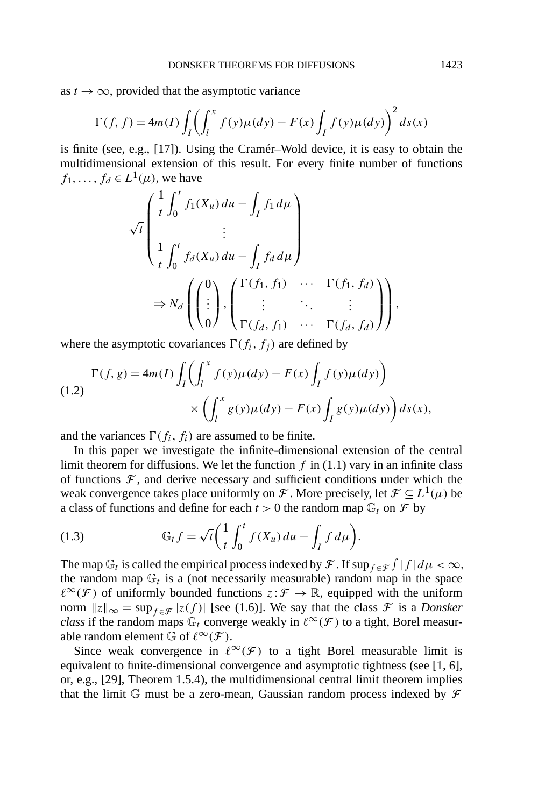as  $t \to \infty$ , provided that the asymptotic variance

$$
\Gamma(f, f) = 4m(I) \int_I \left( \int_l^x f(y) \mu(dy) - F(x) \int_I f(y) \mu(dy) \right)^2 ds(x)
$$

is finite (see, e.g., [17]). Using the Cramér–Wold device, it is easy to obtain the multidimensional extension of this result. For every finite number of functions  $f_1, \ldots, f_d \in L^1(\mu)$ , we have

$$
\sqrt{t}\begin{pmatrix} \frac{1}{t} \int_0^t f_1(X_u) du - \int_I f_1 d\mu \\ \vdots \\ \frac{1}{t} \int_0^t f_d(X_u) du - \int_I f_d d\mu \end{pmatrix}
$$
  
\n
$$
\Rightarrow N_d \begin{pmatrix} 0 \\ \vdots \\ 0 \end{pmatrix}, \begin{pmatrix} \Gamma(f_1, f_1) & \cdots & \Gamma(f_1, f_d) \\ \vdots & \ddots & \vdots \\ \Gamma(f_d, f_1) & \cdots & \Gamma(f_d, f_d) \end{pmatrix},
$$

where the asymptotic covariances  $\Gamma(f_i, f_j)$  are defined by

$$
\Gamma(f,g) = 4m(I) \int_I \left( \int_l^x f(y) \mu(dy) - F(x) \int_I f(y) \mu(dy) \right) \times \left( \int_l^x g(y) \mu(dy) - F(x) \int_I g(y) \mu(dy) \right) ds(x),
$$

and the variances  $\Gamma(f_i, f_i)$  are assumed to be finite.

In this paper we investigate the infinite-dimensional extension of the central limit theorem for diffusions. We let the function  $f$  in  $(1.1)$  vary in an infinite class of functions  $\mathcal F$ , and derive necessary and sufficient conditions under which the weak convergence takes place uniformly on F. More precisely, let  $\mathcal{F} \subset L^1(\mu)$  be a class of functions and define for each  $t > 0$  the random map  $\mathbb{G}_t$  on  $\mathcal{F}$  by

(1.3) 
$$
\mathbb{G}_t f = \sqrt{t} \left( \frac{1}{t} \int_0^t f(X_u) du - \int_I f d\mu \right).
$$

The map  $\mathbb{G}_t$  is called the empirical process indexed by  $\mathcal{F}$ . If  $\sup_{f \in \mathcal{F}} \int |f| d\mu < \infty$ , the random map  $\mathbb{G}_t$  is a (not necessarily measurable) random map in the space  $\ell^{\infty}(\mathcal{F})$  of uniformly bounded functions  $z:\mathcal{F} \to \mathbb{R}$ , equipped with the uniform norm  $||z||_{\infty} = \sup_{f \in \mathcal{F}} |z(f)|$  [see (1.6)]. We say that the class  $\mathcal{F}$  is a *Donsker class* if the random maps  $\mathbb{G}_t$  converge weakly in  $\ell^{\infty}(\mathcal{F})$  to a tight, Borel measurable random element  $\mathbb{G}$  of  $\ell^{\infty}(\mathcal{F})$ .

Since weak convergence in  $\ell^{\infty}(\mathcal{F})$  to a tight Borel measurable limit is equivalent to finite-dimensional convergence and asymptotic tightness (see [1, 6], or, e.g., [29], Theorem 1.5.4), the multidimensional central limit theorem implies that the limit  $\mathbb G$  must be a zero-mean, Gaussian random process indexed by  $\mathcal F$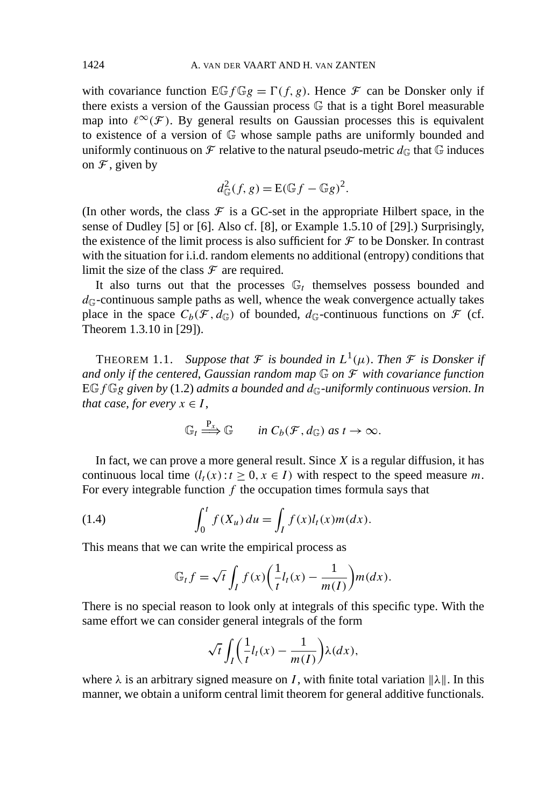with covariance function  $\mathbb{E} G_f G_g = \Gamma(f, g)$ . Hence  $\mathcal F$  can be Donsker only if there exists a version of the Gaussian process G that is a tight Borel measurable map into  $\ell^{\infty}(\mathcal{F})$ . By general results on Gaussian processes this is equivalent to existence of a version of G whose sample paths are uniformly bounded and uniformly continuous on  $\mathcal F$  relative to the natural pseudo-metric  $d_{\mathbb G}$  that  $\mathbb G$  induces on  $\mathcal F$ , given by

$$
d_{\mathbb{G}}^2(f, g) = \mathbb{E}(\mathbb{G}f - \mathbb{G}g)^2.
$$

(In other words, the class  $\mathcal F$  is a GC-set in the appropriate Hilbert space, in the sense of Dudley [5] or [6]. Also cf. [8], or Example 1.5.10 of [29].) Surprisingly, the existence of the limit process is also sufficient for  $\mathcal F$  to be Donsker. In contrast with the situation for i.i.d. random elements no additional (entropy) conditions that limit the size of the class  $\mathcal F$  are required.

It also turns out that the processes  $\mathbb{G}_t$  themselves possess bounded and  $d<sub>G</sub>$ -continuous sample paths as well, whence the weak convergence actually takes place in the space  $C_b(\mathcal{F}, d_{\mathbb{G}})$  of bounded,  $d_{\mathbb{G}}$ -continuous functions on  $\mathcal F$  (cf. Theorem 1.3.10 in [29]).

**THEOREM 1.1.** Suppose that  $\mathcal F$  is bounded in  $L^1(\mu)$ . Then  $\mathcal F$  is Donsker if *and only if the centered*, *Gaussian random map* G *on* F *with covariance function*  $EGfGg$  *given by* (1.2) *admits a bounded and*  $d_G$ -uniformly continuous version. In *that case, for every*  $x \in I$ ,

$$
\mathbb{G}_t \stackrel{\mathbf{P}_x}{\Longrightarrow} \mathbb{G} \qquad \text{in } C_b(\mathcal{F}, d_{\mathbb{G}}) \text{ as } t \to \infty.
$$

In fact, we can prove a more general result. Since *X* is a regular diffusion, it has continuous local time  $(l_t(x): t \geq 0, x \in I)$  with respect to the speed measure *m*. For every integrable function *f* the occupation times formula says that

(1.4) 
$$
\int_0^t f(X_u) du = \int_I f(x)l_t(x)m(dx).
$$

This means that we can write the empirical process as

$$
\mathbb{G}_t f = \sqrt{t} \int_I f(x) \left( \frac{1}{t} l_t(x) - \frac{1}{m(I)} \right) m(dx).
$$

There is no special reason to look only at integrals of this specific type. With the same effort we can consider general integrals of the form

$$
\sqrt{t} \int_I \left( \frac{1}{t} l_t(x) - \frac{1}{m(I)} \right) \lambda(dx),
$$

where  $\lambda$  is an arbitrary signed measure on *I*, with finite total variation  $\|\lambda\|$ . In this manner, we obtain a uniform central limit theorem for general additive functionals.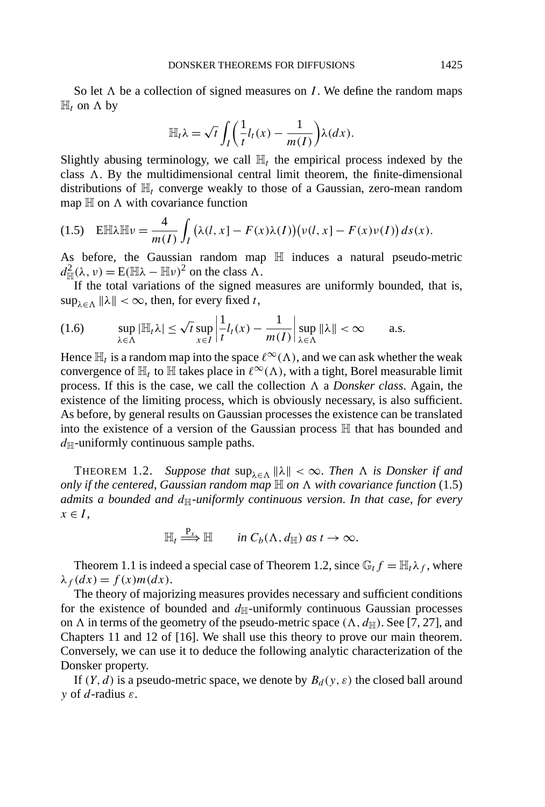So let  $\Lambda$  be a collection of signed measures on *I*. We define the random maps  $\mathbb{H}_t$  on  $\Lambda$  by

$$
\mathbb{H}_t \lambda = \sqrt{t} \int_I \left( \frac{1}{t} l_t(x) - \frac{1}{m(I)} \right) \lambda(dx).
$$

Slightly abusing terminology, we call  $\mathbb{H}_t$  the empirical process indexed by the class  $\Lambda$ . By the multidimensional central limit theorem, the finite-dimensional distributions of  $\mathbb{H}$ <sub>t</sub> converge weakly to those of a Gaussian, zero-mean random map  $\mathbb H$  on  $\Lambda$  with covariance function

$$
(1.5) \quad \text{E}\mathbb{H}\lambda\mathbb{H}\nu = \frac{4}{m(I)}\int_{I} \big(\lambda(l,x) - F(x)\lambda(I)\big)\big(\nu(l,x) - F(x)\nu(I)\big)ds(x).
$$

As before, the Gaussian random map  $\mathbb H$  induces a natural pseudo-metric  $d_{\mathbb{H}}^2(\lambda, \nu) = \mathbb{E}(\mathbb{H}\lambda - \mathbb{H}\nu)^2$  on the class  $\Lambda$ .

If the total variations of the signed measures are uniformly bounded, that is,  $\sup_{\lambda \in \Lambda} ||\lambda|| < \infty$ , then, for every fixed *t*,

$$
(1.6) \qquad \sup_{\lambda \in \Lambda} |\mathbb{H}_t \lambda| \leq \sqrt{t} \sup_{x \in I} \left| \frac{1}{t} l_t(x) - \frac{1}{m(I)} \right| \sup_{\lambda \in \Lambda} \|\lambda\| < \infty \qquad \text{a.s.}
$$

Hence  $\mathbb{H}_t$  is a random map into the space  $\ell^{\infty}(\Lambda)$ , and we can ask whether the weak convergence of  $\mathbb{H}_t$  to  $\mathbb H$  takes place in  $\ell^{\infty}(\Lambda)$ , with a tight, Borel measurable limit process. If this is the case, we call the collection  $\Lambda$  a *Donsker class*. Again, the existence of the limiting process, which is obviously necessary, is also sufficient. As before, by general results on Gaussian processes the existence can be translated into the existence of a version of the Gaussian process H that has bounded and  $d_H$ -uniformly continuous sample paths.

THEOREM 1.2. *Suppose that*  $\sup_{\lambda \in \Lambda} ||\lambda|| < \infty$ . *Then*  $\Lambda$  *is Donsker if and only if the centered, Gaussian random map*  $\mathbb H$  *on*  $\Lambda$  *with covariance function* (1.5) *admits a bounded and*  $d_{\mathbb{H}}$ *-uniformly continuous version. In that case, for every*  $x \in I$ ,

$$
\mathbb{H}_t \stackrel{P_x}{\Longrightarrow} \mathbb{H} \qquad \text{in } C_b(\Lambda, d_{\mathbb{H}}) \text{ as } t \to \infty.
$$

Theorem 1.1 is indeed a special case of Theorem 1.2, since  $\mathbb{G}_t f = \mathbb{H}_t \lambda_f$ , where  $λ<sub>f</sub>(dx) = f(x)m(dx).$ 

The theory of majorizing measures provides necessary and sufficient conditions for the existence of bounded and  $d_{\mathbb{H}}$ -uniformly continuous Gaussian processes on  $\Lambda$  in terms of the geometry of the pseudo-metric space  $(\Lambda, d_{\mathbb{H}})$ . See [7, 27], and Chapters 11 and 12 of [16]. We shall use this theory to prove our main theorem. Conversely, we can use it to deduce the following analytic characterization of the Donsker property.

If  $(Y, d)$  is a pseudo-metric space, we denote by  $B_d(y, \varepsilon)$  the closed ball around *y* of *d*-radius *ε*.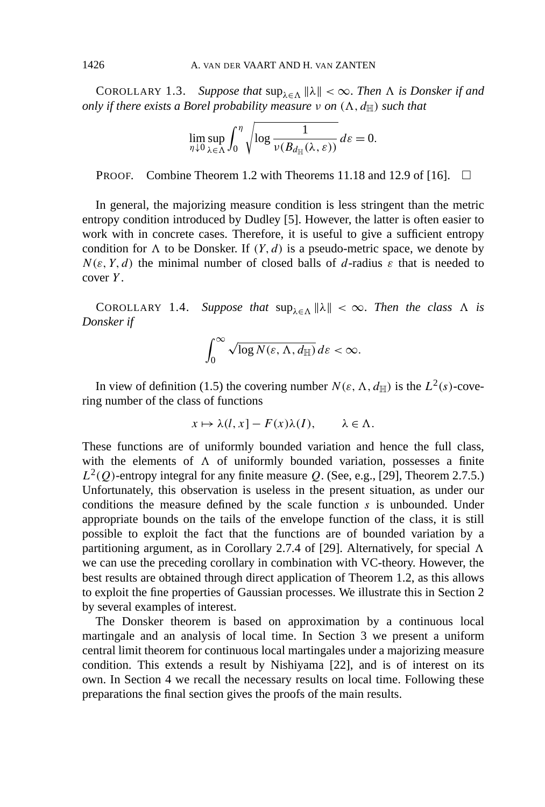COROLLARY 1.3. *Suppose that*  $\sup_{\lambda \in \Lambda} ||\lambda|| < \infty$ . *Then*  $\Lambda$  *is Donsker if and only if there exists a Borel probability measure*  $\nu$  *on*  $(\Lambda, d_\mathbb{H})$  *such that* 

$$
\lim_{\eta \downarrow 0} \sup_{\lambda \in \Lambda} \int_0^{\eta} \sqrt{\log \frac{1}{\nu(B_{d_{\mathbb{H}}}(\lambda, \varepsilon))}} d\varepsilon = 0.
$$

**PROOF.** Combine Theorem 1.2 with Theorems 11.18 and 12.9 of [16].  $\Box$ 

In general, the majorizing measure condition is less stringent than the metric entropy condition introduced by Dudley [5]. However, the latter is often easier to work with in concrete cases. Therefore, it is useful to give a sufficient entropy condition for  $\Lambda$  to be Donsker. If  $(Y, d)$  is a pseudo-metric space, we denote by  $N(\varepsilon, Y, d)$  the minimal number of closed balls of *d*-radius  $\varepsilon$  that is needed to cover *Y* .

COROLLARY 1.4. *Suppose that*  $\sup_{\lambda \in \Lambda} ||\lambda|| < \infty$ . *Then the class*  $\Lambda$  *is Donsker if*

$$
\int_0^\infty \sqrt{\log N(\varepsilon,\Lambda,d_{\mathbb{H}})}\,d\varepsilon < \infty.
$$

In view of definition (1.5) the covering number  $N(\varepsilon, \Lambda, d_{\mathbb{H}})$  is the  $L^2(s)$ -covering number of the class of functions

$$
x \mapsto \lambda(l, x) - F(x)\lambda(I), \qquad \lambda \in \Lambda.
$$

These functions are of uniformly bounded variation and hence the full class, with the elements of  $\Lambda$  of uniformly bounded variation, possesses a finite  $L^2(Q)$ -entropy integral for any finite measure *Q*. (See, e.g., [29], Theorem 2.7.5.) Unfortunately, this observation is useless in the present situation, as under our conditions the measure defined by the scale function *s* is unbounded. Under appropriate bounds on the tails of the envelope function of the class, it is still possible to exploit the fact that the functions are of bounded variation by a partitioning argument, as in Corollary 2.7.4 of [29]. Alternatively, for special  $\Lambda$ we can use the preceding corollary in combination with VC-theory. However, the best results are obtained through direct application of Theorem 1.2, as this allows to exploit the fine properties of Gaussian processes. We illustrate this in Section 2 by several examples of interest.

The Donsker theorem is based on approximation by a continuous local martingale and an analysis of local time. In Section 3 we present a uniform central limit theorem for continuous local martingales under a majorizing measure condition. This extends a result by Nishiyama [22], and is of interest on its own. In Section 4 we recall the necessary results on local time. Following these preparations the final section gives the proofs of the main results.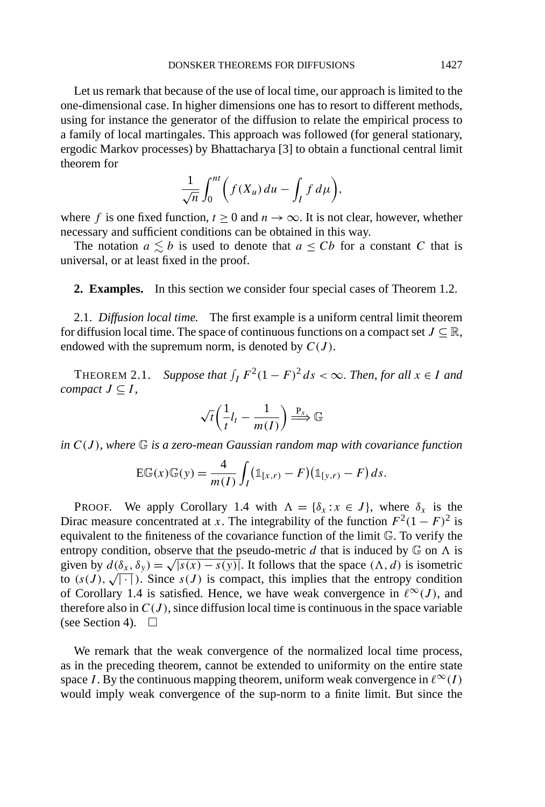Let us remark that because of the use of local time, our approach is limited to the one-dimensional case. In higher dimensions one has to resort to different methods, using for instance the generator of the diffusion to relate the empirical process to a family of local martingales. This approach was followed (for general stationary, ergodic Markov processes) by Bhattacharya [3] to obtain a functional central limit theorem for

$$
\frac{1}{\sqrt{n}}\int_0^{nt}\bigg(f(X_u)\,du-\int_If\,d\mu\bigg),\,
$$

where *f* is one fixed function,  $t > 0$  and  $n \to \infty$ . It is not clear, however, whether necessary and sufficient conditions can be obtained in this way.

The notation  $a \lesssim b$  is used to denote that  $a \leq Cb$  for a constant *C* that is universal, or at least fixed in the proof.

**2. Examples.** In this section we consider four special cases of Theorem 1.2.

2.1. *Diffusion local time.* The first example is a uniform central limit theorem for diffusion local time. The space of continuous functions on a compact set  $J \subseteq \mathbb{R}$ , endowed with the supremum norm, is denoted by  $C(J)$ .

THEOREM 2.1. Suppose that  $\int_I F^2(1 - F)^2 ds < \infty$ . Then, for all  $x \in I$  and *compact*  $J \subseteq I$ ,

$$
\sqrt{t}\left(\frac{1}{t}l_t - \frac{1}{m(I)}\right) \stackrel{\mathbf{P}_x}{\Longrightarrow} \mathbb{G}
$$

*in C(J )*, *where* G *is a zero-mean Gaussian random map with covariance function*

$$
E\mathbb{G}(x)\mathbb{G}(y) = \frac{4}{m(I)}\int_I (\mathbb{1}_{[x,r)} - F)(\mathbb{1}_{[y,r)} - F) ds.
$$

PROOF. We apply Corollary 1.4 with  $\Lambda = {\delta_x : x \in J}$ , where  $\delta_x$  is the Dirac measure concentrated at *x*. The integrability of the function  $F^2(1 - F)^2$  is equivalent to the finiteness of the covariance function of the limit G. To verify the entropy condition, observe that the pseudo-metric  $d$  that is induced by  $\mathbb{G}$  on  $\Lambda$  is given by  $d(\delta_x, \delta_y) = \sqrt{|s(x) - s(y)|}$ . It follows that the space  $(\Lambda, d)$  is isometric to  $(s(J), \sqrt{| \cdot |})$ . Since  $s(J)$  is compact, this implies that the entropy condition of Corollary 1.4 is satisfied. Hence, we have weak convergence in  $\ell^{\infty}(J)$ , and therefore also in  $C(J)$ , since diffusion local time is continuous in the space variable (see Section 4).  $\Box$ 

We remark that the weak convergence of the normalized local time process, as in the preceding theorem, cannot be extended to uniformity on the entire state space *I*. By the continuous mapping theorem, uniform weak convergence in  $\ell^{\infty}(I)$ would imply weak convergence of the sup-norm to a finite limit. But since the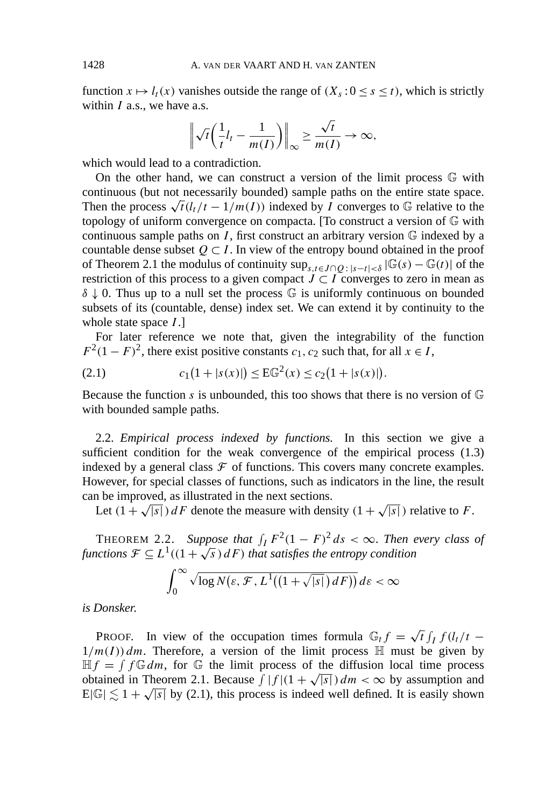function  $x \mapsto l_t(x)$  vanishes outside the range of  $(X_s : 0 \le s \le t)$ , which is strictly within *I* a.s., we have a.s.

$$
\left\|\sqrt{t}\left(\frac{1}{t}l_t-\frac{1}{m(I)}\right)\right\|_{\infty}\geq \frac{\sqrt{t}}{m(I)}\to\infty,
$$

which would lead to a contradiction.

On the other hand, we can construct a version of the limit process  $\mathbb G$  with continuous (but not necessarily bounded) sample paths on the entire state space. Then the process  $\sqrt{t}$ ( $l_t/t - 1/m(I)$ ) indexed by *I* converges to G relative to the topology of uniform convergence on compacta. [To construct a version of G with continuous sample paths on  $I$ , first construct an arbitrary version  $\mathbb G$  indexed by a countable dense subset  $Q \subset I$ . In view of the entropy bound obtained in the proof of Theorem 2.1 the modulus of continuity  $\sup_{s,t\in J\cap O: |s-t|< \delta} |\mathbb{G}(s) - \mathbb{G}(t)|$  of the restriction of this process to a given compact  $J \subset I$  converges to zero in mean as *δ* ↓ 0. Thus up to a null set the process *G* is uniformly continuous on bounded subsets of its (countable, dense) index set. We can extend it by continuity to the whole state space *I* .]

For later reference we note that, given the integrability of the function  $F^2(1 - F)^2$ , there exist positive constants *c*<sub>1</sub>, *c*<sub>2</sub> such that, for all  $x \in I$ ,

(2.1) 
$$
c_1(1+|s(x)|) \leq E\mathbb{G}^2(x) \leq c_2(1+|s(x)|).
$$

Because the function *s* is unbounded, this too shows that there is no version of  $\mathbb{G}$ with bounded sample paths.

2.2. *Empirical process indexed by functions.* In this section we give a sufficient condition for the weak convergence of the empirical process (1.3) indexed by a general class  $\mathcal F$  of functions. This covers many concrete examples. However, for special classes of functions, such as indicators in the line, the result can be improved, as illustrated in the next sections.

Let  $(1 + \sqrt{|s|})dF$  denote the measure with density  $(1 + \sqrt{|s|})$  relative to *F*.

THEOREM 2.2. Suppose that  $\int_I F^2(1 - F)^2 ds < \infty$ . Then every class of *functions*  $\mathcal{F} \subseteq L^1((1+\sqrt{s})dF)$  *that satisfies the entropy condition* 

$$
\int_0^\infty \sqrt{\log N\big(\varepsilon,\mathcal{F},L^1\big((1+\sqrt{|s|})\,d\,F\big)\big)}\,d\,\varepsilon < \infty
$$

*is Donsker*.

PROOF. In view of the occupation times formula  $\mathbb{G}_t f = \sqrt{t} \int_I f(l_t/t 1/m(I)$  dm. Therefore, a version of the limit process  $\mathbb H$  must be given by  $\mathbb{H}f = \int f \mathbb{G} dm$ , for  $\mathbb{G}$  the limit process of the diffusion local time process  $mJ = J J \oplus dm$ , for  $\oplus$  the fimit process of the diffusion focal time process obtained in Theorem 2.1. Because  $\int |f|(1 + \sqrt{|s|}) dm < \infty$  by assumption and botained in Theorem 2.1. Because  $f[f](1 + \sqrt{|s|}) dm < \infty$  by assumption and  $E[\mathbb{G}] \lesssim 1 + \sqrt{|s|}$  by (2.1), this process is indeed well defined. It is easily shown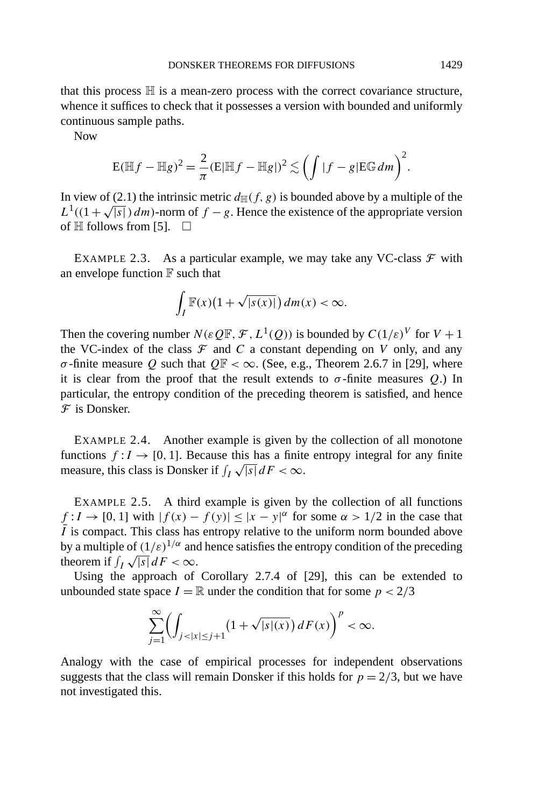that this process  $H$  is a mean-zero process with the correct covariance structure, whence it suffices to check that it possesses a version with bounded and uniformly continuous sample paths.

Now

$$
\mathbf{E}(\mathbb{H}f - \mathbb{H}g)^2 = \frac{2}{\pi} (\mathbf{E}|\mathbb{H}f - \mathbb{H}g|)^2 \lesssim \left(\int |f - g| \mathbf{E}\mathbb{G} dm\right)^2.
$$

In view of (2.1) the intrinsic metric  $d_{\text{H}}(f, g)$  is bounded above by a multiple of the  $L^1((1+\sqrt{|s|}) dm)$ -norm of *f* − *g*. Hence the existence of the appropriate version of  $\mathbb H$  follows from [5].  $\Box$ 

EXAMPLE 2.3. As a particular example, we may take any VC-class  $\mathcal F$  with an envelope function  $\mathbb F$  such that

$$
\int_I \mathbb{F}(x)\big(1+\sqrt{|s(x)|}\big)\,dm(x)<\infty.
$$

Then the covering number  $N(\varepsilon Q\mathbb{F}, \mathcal{F}, L^1(Q))$  is bounded by  $C(1/\varepsilon)^V$  for  $V + 1$ the VC-index of the class  $\mathcal F$  and  $C$  a constant depending on  $V$  only, and any *σ*-finite measure *Q* such that  $Q\mathbb{F} < \infty$ . (See, e.g., Theorem 2.6.7 in [29], where it is clear from the proof that the result extends to  $\sigma$ -finite measures  $Q$ .) In particular, the entropy condition of the preceding theorem is satisfied, and hence  $\mathcal F$  is Donsker.

EXAMPLE 2.4. Another example is given by the collection of all monotone functions  $f: I \to [0, 1]$ . Because this has a finite entropy integral for any finite functions  $f: I \to [0, 1]$ . Because this has a finite<br>measure, this class is Donsker if  $\int_I \sqrt{|s|} dF < \infty$ .

EXAMPLE 2.5. A third example is given by the collection of all functions  $f: I \to [0, 1]$  with  $|f(x) - f(y)| \le |x - y|^{\alpha}$  for some  $\alpha > 1/2$  in the case that  $\overline{I}$  is compact. This class has entropy relative to the uniform norm bounded above by a multiple of  $(1/\varepsilon)^{1/\alpha}$  and hence satisfies the entropy condition of the preceding by a multiple of  $(1/\varepsilon)$ <sup>*, and* and theorem if  $\int_I \sqrt{|s|} dF < \infty$ .</sup>

Using the approach of Corollary 2.7.4 of [29], this can be extended to unbounded state space  $I = \mathbb{R}$  under the condition that for some  $p < 2/3$ 

$$
\sum_{j=1}^{\infty} \left( \int_{j < |x| \le j+1} \left( 1 + \sqrt{|s|(x)} \right) dF(x) \right)^p < \infty.
$$

Analogy with the case of empirical processes for independent observations suggests that the class will remain Donsker if this holds for  $p = 2/3$ , but we have not investigated this.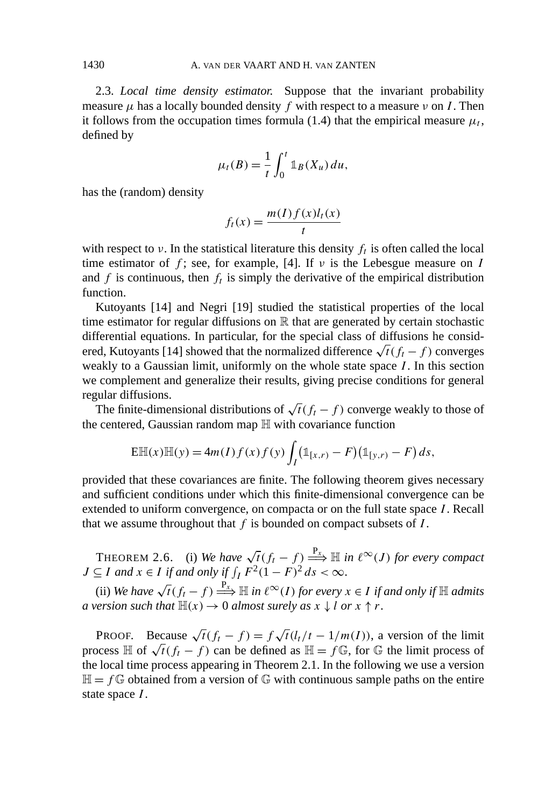2.3. *Local time density estimator.* Suppose that the invariant probability measure  $\mu$  has a locally bounded density f with respect to a measure  $\nu$  on I. Then it follows from the occupation times formula (1.4) that the empirical measure  $\mu_t$ , defined by

$$
\mu_t(B) = \frac{1}{t} \int_0^t \mathbb{1}_B(X_u) \, du,
$$

has the (random) density

$$
f_t(x) = \frac{m(I)f(x)l_t(x)}{t}
$$

with respect to  $\nu$ . In the statistical literature this density  $f_t$  is often called the local time estimator of  $f$ ; see, for example, [4]. If  $\nu$  is the Lebesgue measure on *I* and  $f$  is continuous, then  $f_t$  is simply the derivative of the empirical distribution function.

Kutoyants [14] and Negri [19] studied the statistical properties of the local time estimator for regular diffusions on  $\mathbb R$  that are generated by certain stochastic differential equations. In particular, for the special class of diffusions he considered, Kutoyants [14] showed that the normalized difference  $\sqrt{t}(f_t - f)$  converges weakly to a Gaussian limit, uniformly on the whole state space *I* . In this section we complement and generalize their results, giving precise conditions for general regular diffusions.

The finite-dimensional distributions of  $\sqrt{t(f_t - f)}$  converge weakly to those of the centered, Gaussian random map H with covariance function

$$
E\mathbb{H}(x)\mathbb{H}(y) = 4m(I)f(x)f(y)\int_I (\mathbb{1}_{[x,r)} - F)(\mathbb{1}_{[y,r)} - F) ds,
$$

provided that these covariances are finite. The following theorem gives necessary and sufficient conditions under which this finite-dimensional convergence can be extended to uniform convergence, on compacta or on the full state space *I* . Recall that we assume throughout that *f* is bounded on compact subsets of *I* .

THEOREM 2.6. (i) *We have*  $\sqrt{t}(f_t - f) \stackrel{P_{x}}{\Longrightarrow} \mathbb{H}$  *in*  $\ell^{\infty}(J)$  *for every compact*  $J \subseteq I$  *and*  $x \in I$  *if and only if*  $\int_I F^2 (1 - F)^2 ds < \infty$ .

(ii) *We have*  $\sqrt{t(f_t-f)} \stackrel{P_x}{\Longrightarrow} \mathbb{H}$  *in*  $\ell^{\infty}(I)$  *for every*  $x \in I$  *if and only if*  $\mathbb{H}$  *admits a version such that*  $\mathbb{H}(x) \to 0$  *almost surely as*  $x \downarrow l$  *or*  $x \uparrow r$ .

PROOF. Because  $\sqrt{t}(f_t - f) = f \sqrt{t}(l_t/t - 1/m(I))$ , a version of the limit process  $\mathbb{H}$  of  $\sqrt{t(f_t - f)}$  can be defined as  $\mathbb{H} = f \mathbb{G}$ , for  $\mathbb{G}$  the limit process of the local time process appearing in Theorem 2.1. In the following we use a version  $\mathbb{H} = f \mathbb{G}$  obtained from a version of  $\mathbb{G}$  with continuous sample paths on the entire state space *I* .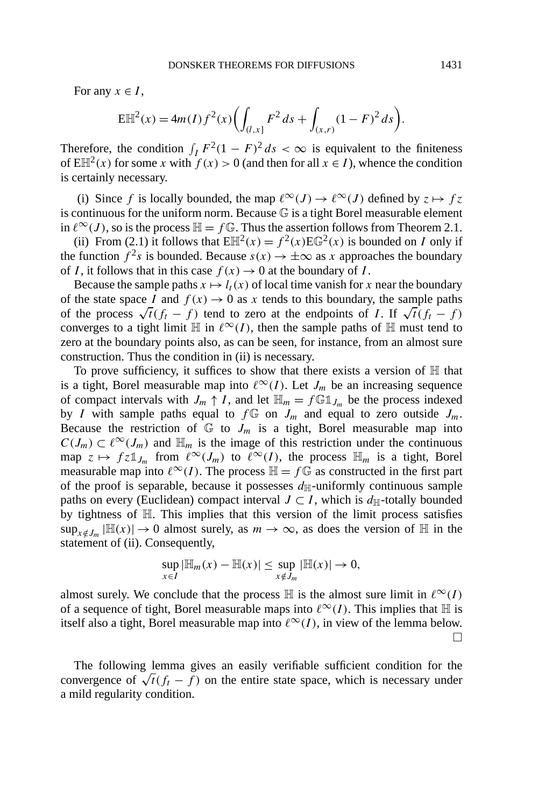For any  $x \in I$ ,

$$
E\mathbb{H}^{2}(x) = 4m(I)f^{2}(x)\left(\int_{(I,x]}F^{2} ds + \int_{(x,r)}(1-F)^{2} ds\right).
$$

Therefore, the condition  $\int_I F^2 (1 - F)^2 ds < \infty$  is equivalent to the finiteness of  $E\mathbb{H}^{2}(x)$  for some *x* with  $f(x) > 0$  (and then for all  $x \in I$ ), whence the condition is certainly necessary.

(i) Since *f* is locally bounded, the map  $\ell^{\infty}(J) \to \ell^{\infty}(J)$  defined by  $z \mapsto fz$ is continuous for the uniform norm. Because  $\mathbb G$  is a tight Borel measurable element in  $\ell^{\infty}(J)$ , so is the process  $\mathbb{H} = f \mathbb{G}$ . Thus the assertion follows from Theorem 2.1.

(ii) From (2.1) it follows that  $E\mathbb{H}^2(x) = f^2(x)E\mathbb{G}^2(x)$  is bounded on *I* only if the function  $f^2s$  is bounded. Because  $s(x) \to \pm \infty$  as x approaches the boundary of *I*, it follows that in this case  $f(x) \to 0$  at the boundary of *I*.

Because the sample paths  $x \mapsto l_t(x)$  of local time vanish for x near the boundary of the state space *I* and  $f(x) \to 0$  as *x* tends to this boundary, the sample paths of the process  $\sqrt{t(f_t - f)}$  tend to zero at the endpoints of *I*. If  $\sqrt{t(f_t - f)}$ converges to a tight limit  $\mathbb H$  in  $\ell^{\infty}(I)$ , then the sample paths of  $\mathbb H$  must tend to zero at the boundary points also, as can be seen, for instance, from an almost sure construction. Thus the condition in (ii) is necessary.

To prove sufficiency, it suffices to show that there exists a version of  $H$  that is a tight, Borel measurable map into  $\ell^{\infty}(I)$ . Let  $J_m$  be an increasing sequence of compact intervals with  $J_m \uparrow I$ , and let  $\mathbb{H}_m = f \mathbb{G} \mathbb{1}_{J_m}$  be the process indexed by *I* with sample paths equal to  $f \oplus f$  on  $J_m$  and equal to zero outside  $J_m$ . Because the restriction of  $\mathbb{G}$  to  $J_m$  is a tight, Borel measurable map into  $C(J_m) \subset \ell^{\infty}(J_m)$  and  $\mathbb{H}_m$  is the image of this restriction under the continuous map  $z \mapsto fz \mathbb{1}_{J_m}$  from  $\ell^{\infty}(J_m)$  to  $\ell^{\infty}(I)$ , the process  $\mathbb{H}_m$  is a tight, Borel measurable map into  $\ell^{\infty}(I)$ . The process  $\mathbb{H} = f \mathbb{G}$  as constructed in the first part of the proof is separable, because it possesses  $d_{\text{H}}$ -uniformly continuous sample paths on every (Euclidean) compact interval  $J \subset I$ , which is  $d_{\mathbb{H}}$ -totally bounded by tightness of H. This implies that this version of the limit process satisfies  $\sup_{x \notin J_m} |\mathbb{H}(x)| \to 0$  almost surely, as  $m \to \infty$ , as does the version of  $\mathbb{H}$  in the statement of (ii). Consequently,

$$
\sup_{x \in I} |\mathbb{H}_m(x) - \mathbb{H}(x)| \leq \sup_{x \notin J_m} |\mathbb{H}(x)| \to 0,
$$

almost surely. We conclude that the process  $\mathbb H$  is the almost sure limit in  $\ell^{\infty}(I)$ of a sequence of tight, Borel measurable maps into  $\ell^{\infty}(I)$ . This implies that H is itself also a tight, Borel measurable map into  $\ell^{\infty}(I)$ , in view of the lemma below.  $\Box$ 

The following lemma gives an easily verifiable sufficient condition for the convergence of  $\sqrt{t(f_t - f)}$  on the entire state space, which is necessary under a mild regularity condition.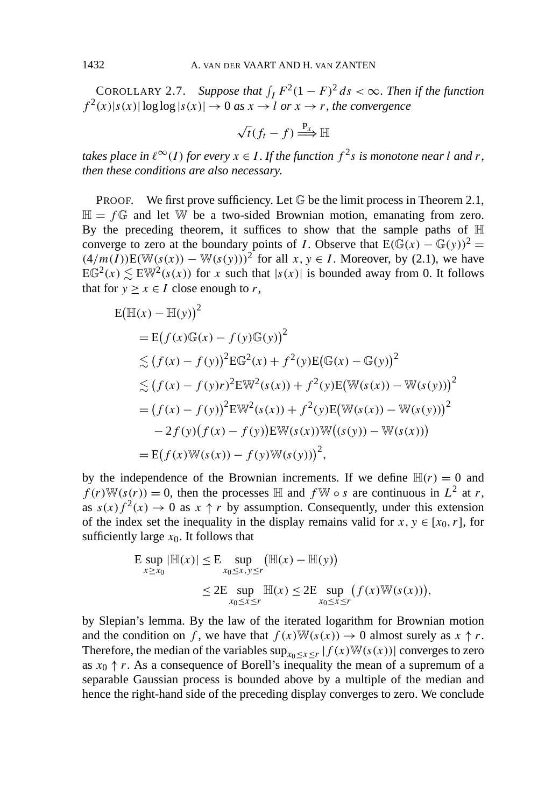COROLLARY 2.7. Suppose that  $\int_I F^2(1 - F)^2 ds < \infty$ . Then if the function  $f^{2}(x)|s(x)|\log\log|s(x)| \rightarrow 0$  *as*  $x \rightarrow l$  *or*  $x \rightarrow r$ , *the convergence* 

$$
\sqrt{t(f_t-f)} \stackrel{\mathrm{P}_x}{\Longrightarrow} \mathbb{H}
$$

*takes place in*  $\ell^{\infty}(I)$  *for every*  $x \in I$ . If the function  $f^2s$  *is monotone near l and r*, *then these conditions are also necessary*.

**PROOF.** We first prove sufficiency. Let  $\mathbb{G}$  be the limit process in Theorem 2.1,  $\mathbb{H} = f \mathbb{G}$  and let W be a two-sided Brownian motion, emanating from zero. By the preceding theorem, it suffices to show that the sample paths of  $\mathbb H$ converge to zero at the boundary points of *I*. Observe that  $E(\mathbb{G}(x) - \mathbb{G}(y))^2 =$  $(4/m(I))E(W(s(x)) - W(s(y)))^2$  for all *x*, *y* ∈ *I*. Moreover, by (2.1), we have  $EG<sup>2</sup>(x) \lesssim EW<sup>2</sup>(s(x))$  for *x* such that  $|s(x)|$  is bounded away from 0. It follows that for  $y \ge x \in I$  close enough to *r*,

$$
E(\mathbb{H}(x) - \mathbb{H}(y))^2
$$
  
= E(f(x)G(x) - f(y)G(y))^2  

$$
\leq (f(x) - f(y))^2 E G^2(x) + f^2(y) E(G(x) - G(y))^2
$$
  

$$
\leq (f(x) - f(y)r)^2 E W^2(s(x)) + f^2(y) E(W(s(x)) - W(s(y)))^2
$$
  
=  $(f(x) - f(y))^2 E W^2(s(x)) + f^2(y) E(W(s(x)) - W(s(y)))^2$   

$$
- 2f(y)(f(x) - f(y)) E W(s(x)) W((s(y)) - W(s(x)))
$$
  
= E(f(x)W(s(x)) - f(y)W(s(y)))<sup>2</sup>,

by the independence of the Brownian increments. If we define  $\mathbb{H}(r) = 0$  and  $f(r)W(s(r)) = 0$ , then the processes  $\mathbb H$  and  $f \mathbb W \circ s$  are continuous in  $L^2$  at *r*, as  $s(x)f^{2}(x) \rightarrow 0$  as  $x \uparrow r$  by assumption. Consequently, under this extension of the index set the inequality in the display remains valid for  $x, y \in [x_0, r]$ , for sufficiently large  $x_0$ . It follows that

$$
\begin{aligned} \mathsf{E} \sup_{x \ge x_0} |\mathbb{H}(x)| &\le \mathsf{E} \sup_{x_0 \le x, y \le r} (\mathbb{H}(x) - \mathbb{H}(y)) \\ &\le 2\mathsf{E} \sup_{x_0 \le x \le r} \mathbb{H}(x) \le 2\mathsf{E} \sup_{x_0 \le x \le r} (f(x) \mathbb{W}(s(x))), \end{aligned}
$$

by Slepian's lemma. By the law of the iterated logarithm for Brownian motion and the condition on *f*, we have that  $f(x)W(s(x)) \to 0$  almost surely as  $x \uparrow r$ . Therefore, the median of the variables  $\sup_{x_0 \le x \le r} |f(x)W(s(x))|$  converges to zero as  $x_0 \uparrow r$ . As a consequence of Borell's inequality the mean of a supremum of a separable Gaussian process is bounded above by a multiple of the median and hence the right-hand side of the preceding display converges to zero. We conclude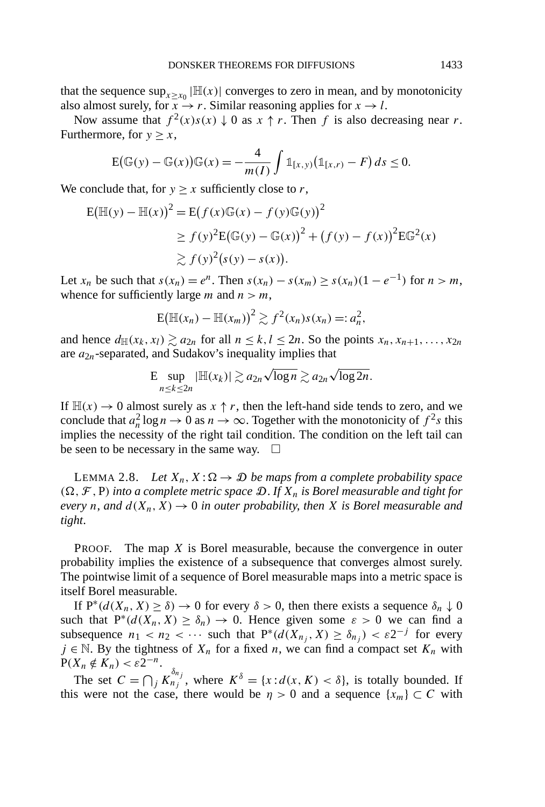that the sequence  $\sup_{x \ge x_0} |\mathbb{H}(x)|$  converges to zero in mean, and by monotonicity also almost surely, for  $\overline{x} \rightarrow r$ . Similar reasoning applies for  $x \rightarrow l$ .

Now assume that  $f^2(x)s(x) \downarrow 0$  as  $x \uparrow r$ . Then *f* is also decreasing near *r*. Furthermore, for  $y \geq x$ ,

$$
E(\mathbb{G}(y) - \mathbb{G}(x))\mathbb{G}(x) = -\frac{4}{m(I)}\int \mathbb{1}_{[x,y)}(\mathbb{1}_{[x,r)} - F) ds \le 0.
$$

We conclude that, for  $y \ge x$  sufficiently close to *r*,

$$
E(\mathbb{H}(y) - \mathbb{H}(x))^2 = E(f(x)\mathbb{G}(x) - f(y)\mathbb{G}(y))^2
$$
  
\n
$$
\ge f(y)^2 E(\mathbb{G}(y) - \mathbb{G}(x))^2 + (f(y) - f(x))^2 E\mathbb{G}^2(x)
$$
  
\n
$$
\ge f(y)^2 (s(y) - s(x)).
$$

Let  $x_n$  be such that  $s(x_n) = e^n$ . Then  $s(x_n) - s(x_m) \ge s(x_n)(1 - e^{-1})$  for  $n > m$ , whence for sufficiently large *m* and  $n > m$ ,

$$
\mathbb{E}(\mathbb{H}(x_n)-\mathbb{H}(x_m))^2\gtrsim f^2(x_n)s(x_n)=:a_n^2,
$$

and hence  $d_{\mathbb{H}}(x_k, x_l) \gtrsim a_{2n}$  for all  $n \leq k, l \leq 2n$ . So the points  $x_n, x_{n+1}, \ldots, x_{2n}$ are *a*2*n*-separated, and Sudakov's inequality implies that

$$
\mathrm{E}\sup_{n\leq k\leq 2n}|\mathbb{H}(x_k)|\gtrsim a_{2n}\sqrt{\log n}\gtrsim a_{2n}\sqrt{\log 2n}.
$$

If  $\mathbb{H}(x) \to 0$  almost surely as  $x \uparrow r$ , then the left-hand side tends to zero, and we conclude that  $a_n^2 \log n \to 0$  as  $n \to \infty$ . Together with the monotonicity of  $f^2s$  this implies the necessity of the right tail condition. The condition on the left tail can be seen to be necessary in the same way.  $\square$ 

LEMMA 2.8. Let  $X_n, X : \Omega \to \mathcal{D}$  be maps from a complete probability space  $(\Omega, \mathcal{F}, P)$  *into a complete metric space*  $\mathcal{D}$ *. If*  $X_n$  *is Borel measurable and tight for every n*, and  $d(X_n, X) \to 0$  *in outer probability, then X is Borel measurable and tight*.

PROOF. The map *X* is Borel measurable, because the convergence in outer probability implies the existence of a subsequence that converges almost surely. The pointwise limit of a sequence of Borel measurable maps into a metric space is itself Borel measurable.

If  $P^*(d(X_n, X) \ge \delta) \to 0$  for every  $\delta > 0$ , then there exists a sequence  $\delta_n \downarrow 0$ such that  $P^*(d(X_n, X) \ge \delta_n) \to 0$ . Hence given some  $\varepsilon > 0$  we can find a subsequence  $n_1 < n_2 < \cdots$  such that  $P^*(d(X_{n_i}, X) \ge \delta_{n_i}) < \varepsilon 2^{-j}$  for every  $j \in \mathbb{N}$ . By the tightness of  $X_n$  for a fixed *n*, we can find a compact set  $K_n$  with  $P(X_n \notin K_n) < \varepsilon 2^{-n}.$ 

The set  $C = \bigcap_j K_{n_j}^{\delta_{n_j}}$ , where  $K^{\delta} = \{x : d(x, K) < \delta\}$ , is totally bounded. If this were not the case, there would be  $\eta > 0$  and a sequence  $\{x_m\} \subset C$  with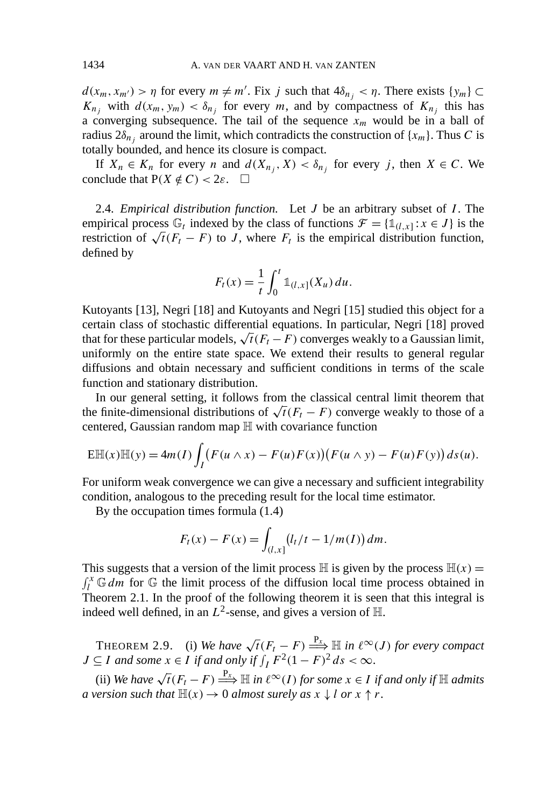$d(x_m, x_{m'}) > \eta$  for every  $m \neq m'$ . Fix *j* such that  $4\delta_{n_j} < \eta$ . There exists  $\{y_m\} \subset$  $K_{n_j}$  with  $d(x_m, y_m) < \delta_{n_j}$  for every *m*, and by compactness of  $K_{n_j}$  this has a converging subsequence. The tail of the sequence  $x_m$  would be in a ball of radius  $2\delta_{n_i}$  around the limit, which contradicts the construction of  $\{x_m\}$ . Thus *C* is totally bounded, and hence its closure is compact.

If  $X_n \in K_n$  for every *n* and  $d(X_{n_j}, X) < \delta_{n_j}$  for every *j*, then  $X \in C$ . We conclude that  $P(X \notin C) < 2\varepsilon$ .  $\Box$ 

2.4. *Empirical distribution function.* Let *J* be an arbitrary subset of *I* . The empirical process  $\mathbb{G}_t$  indexed by the class of functions  $\mathcal{F} = \{\mathbb{1}_{(l,x]} : x \in J\}$  is the restriction of  $\sqrt{t}(F_t - F)$  to *J*, where  $F_t$  is the empirical distribution function, defined by

$$
F_t(x) = \frac{1}{t} \int_0^t \mathbb{1}_{(l,x]}(X_u) \, du.
$$

Kutoyants [13], Negri [18] and Kutoyants and Negri [15] studied this object for a certain class of stochastic differential equations. In particular, Negri [18] proved that for these particular models,  $\sqrt{t}(F_t - F)$  converges weakly to a Gaussian limit, uniformly on the entire state space. We extend their results to general regular diffusions and obtain necessary and sufficient conditions in terms of the scale function and stationary distribution.

In our general setting, it follows from the classical central limit theorem that the finite-dimensional distributions of  $\sqrt{t}(F_t - F)$  converge weakly to those of a centered, Gaussian random map H with covariance function

$$
E\mathbb{H}(x)\mathbb{H}(y) = 4m(I)\int_I \bigl(F(u \wedge x) - F(u)F(x)\bigr)\bigl(F(u \wedge y) - F(u)F(y)\bigr)\,ds(u).
$$

For uniform weak convergence we can give a necessary and sufficient integrability condition, analogous to the preceding result for the local time estimator.

By the occupation times formula (1.4)

$$
F_t(x) - F(x) = \int_{(l,x]} (l_t/t - 1/m(I)) \, dm.
$$

This suggests that a version of the limit process  $\mathbb{H}$  is given by the process  $\mathbb{H}(x)$  =  $\int_l^x \mathbb{G} \, dm$  for  $\mathbb{G}$  the limit process of the diffusion local time process obtained in Theorem 2.1. In the proof of the following theorem it is seen that this integral is indeed well defined, in an  $L^2$ -sense, and gives a version of  $\mathbb{H}$ .

THEOREM 2.9. (i) *We have*  $\sqrt{t}(F_t - F) \stackrel{P_x}{\Longrightarrow} \mathbb{H}$  *in*  $\ell^{\infty}(J)$  *for every compact*  $J \subseteq I$  *and some*  $x \in I$  *if and only if*  $\int_I F^2 (1 - F)^2 ds < \infty$ .

(ii) *We have*  $\sqrt{t}(F_t - F) \stackrel{P_x}{\Longrightarrow} \mathbb{H}$  *in*  $\ell^{\infty}(I)$  *for some*  $x \in I$  *if and only if*  $\mathbb{H}$  *admits a* version such that  $\mathbb{H}(x) \to 0$  *almost surely as*  $x \downarrow l$  *or*  $x \uparrow r$ .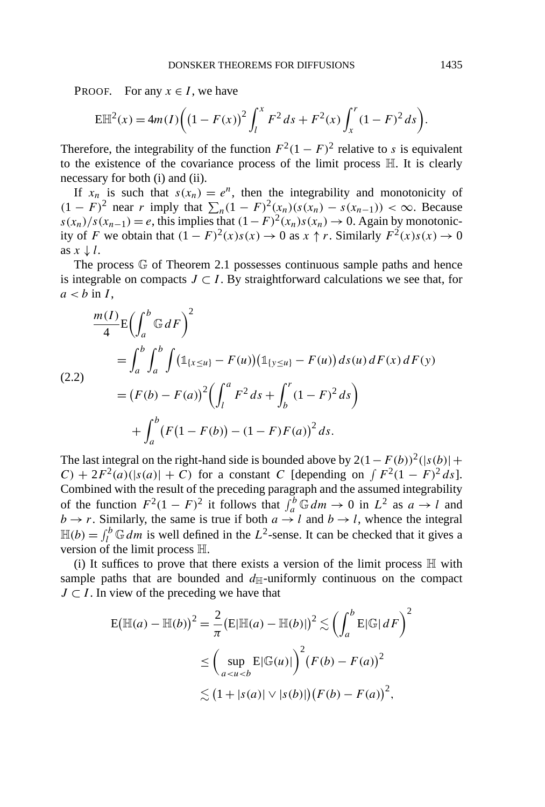PROOF. For any  $x \in I$ , we have

$$
E\mathbb{H}^{2}(x) = 4m(I)\bigg(\big(1 - F(x)\big)^{2} \int_{l}^{x} F^{2} ds + F^{2}(x) \int_{x}^{r} (1 - F)^{2} ds\bigg).
$$

Therefore, the integrability of the function  $F^2(1 - F)^2$  relative to *s* is equivalent to the existence of the covariance process of the limit process H. It is clearly necessary for both (i) and (ii).

If  $x_n$  is such that  $s(x_n) = e^n$ , then the integrability and monotonicity of *(*1 − *F*)<sup>2</sup> near *r* imply that  $\sum_{n} (1 - F)^2(x_n)(s(x_n) - s(x_{n-1})) < \infty$ . Because  $s(x_n)/s(x_{n-1}) = e$ , this implies that  $(1-F)^2(x_n)s(x_n) \to 0$ . Again by monotonicity of *F* we obtain that  $(1 - F)^2(x)s(x) \to 0$  as  $x \uparrow r$ . Similarly  $F^2(x)s(x) \to 0$ as  $x \downarrow l$ .

The process G of Theorem 2.1 possesses continuous sample paths and hence is integrable on compacts  $J \subset I$ . By straightforward calculations we see that, for  $a < b$  in *I*,

$$
\frac{m(I)}{4}E\left(\int_{a}^{b} \mathbb{G} dF\right)^{2}
$$
\n
$$
= \int_{a}^{b} \int_{a}^{b} \int \left(\mathbb{1}_{\{x \le u\}} - F(u)\right)\left(\mathbb{1}_{\{y \le u\}} - F(u)\right) ds(u) dF(x) dF(y)
$$
\n
$$
= (F(b) - F(a))^{2} \left(\int_{l}^{a} F^{2} ds + \int_{b}^{r} (1 - F)^{2} ds\right)
$$
\n
$$
+ \int_{a}^{b} (F(1 - F(b)) - (1 - F)F(a))^{2} ds.
$$

The last integral on the right-hand side is bounded above by  $2(1 - F(b))^2(|s(b)| +$  $C$ ) + 2 $F^2(a)(|s(a)| + C)$  for a constant *C* [depending on  $\int F^2(1 - F)^2 ds$ ]. Combined with the result of the preceding paragraph and the assumed integrability of the function  $F^2(1 - F)^2$  it follows that  $\int_a^b \mathbb{G} dm \to 0$  in  $L^2$  as  $a \to l$  and  $b \rightarrow r$ . Similarly, the same is true if both  $a \rightarrow l$  and  $b \rightarrow l$ , whence the integral  $\mathbb{H}(b) = \int_{l}^{b} \mathbb{G} \, dm$  is well defined in the  $L^2$ -sense. It can be checked that it gives a version of the limit process H.

(i) It suffices to prove that there exists a version of the limit process  $\mathbb H$  with sample paths that are bounded and  $d_{\mathbb{H}}$ -uniformly continuous on the compact *J* ⊂ *I*. In view of the preceding we have that

$$
E(\mathbb{H}(a) - \mathbb{H}(b))^2 = \frac{2}{\pi} (E|\mathbb{H}(a) - \mathbb{H}(b)|)^2 \lesssim \left(\int_a^b E|\mathbb{G}|dF\right)^2
$$
  

$$
\leq \left(\sup_{a < u < b} E|\mathbb{G}(u)|\right)^2 (F(b) - F(a))^2
$$
  

$$
\lesssim (1 + |s(a)| \vee |s(b)|) (F(b) - F(a))^2,
$$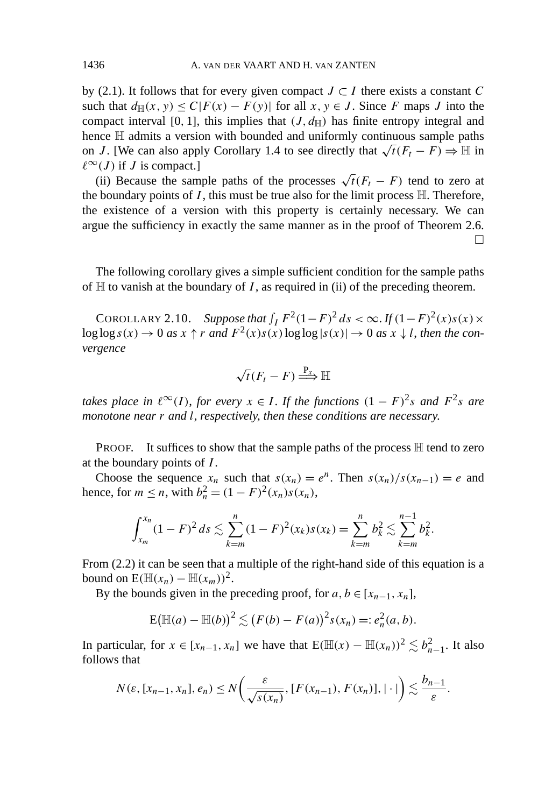by (2.1). It follows that for every given compact  $J \subset I$  there exists a constant  $C$ such that  $d_{\mathbb{H}}(x, y) \leq C |F(x) - F(y)|$  for all  $x, y \in J$ . Since *F* maps *J* into the compact interval [0, 1], this implies that  $(J, d_{\mathbb{H}})$  has finite entropy integral and hence  $\mathbb H$  admits a version with bounded and uniformly continuous sample paths on *J*. [We can also apply Corollary 1.4 to see directly that  $\sqrt{t}(F_t - F) \Rightarrow \mathbb{H}$  in  $\ell^{\infty}(J)$  if *J* is compact.]

(ii) Because the sample paths of the processes  $\sqrt{t}(F_t - F)$  tend to zero at the boundary points of  $I$ , this must be true also for the limit process  $\mathbb{H}$ . Therefore, the existence of a version with this property is certainly necessary. We can argue the sufficiency in exactly the same manner as in the proof of Theorem 2.6.  $\Box$ 

The following corollary gives a simple sufficient condition for the sample paths of  $H$  to vanish at the boundary of *I*, as required in (ii) of the preceding theorem.

COROLLARY 2.10. *Suppose that*  $\int_I F^2(1-F)^2 ds < \infty$ . *If*  $(1-F)^2(x)s(x) \times$  $\log \log s(x) \to 0$  *as*  $x \uparrow r$  *and*  $F^2(x)s(x) \log \log |s(x)| \to 0$  *as*  $x \downarrow l$ , *then the convergence*

$$
\sqrt{t}(F_t-F)\stackrel{\mathrm{P}_x}{\Longrightarrow}\mathbb{H}
$$

*takes place in*  $\ell^{\infty}(I)$ , *for every*  $x \in I$ . If the functions  $(1 - F)^2 s$  *and*  $F^2 s$  *are monotone near r and l*, *respectively*, *then these conditions are necessary*.

**PROOF.** It suffices to show that the sample paths of the process  $\mathbb{H}$  tend to zero at the boundary points of *I* .

Choose the sequence  $x_n$  such that  $s(x_n) = e^n$ . Then  $s(x_n)/s(x_{n-1}) = e$  and hence, for *m* ≤ *n*, with  $b_n^2 = (1 - F)^2(x_n)s(x_n)$ ,

$$
\int_{x_m}^{x_n} (1 - F)^2 ds \lesssim \sum_{k=m}^n (1 - F)^2(x_k) s(x_k) = \sum_{k=m}^n b_k^2 \lesssim \sum_{k=m}^{n-1} b_k^2.
$$

From (2.2) it can be seen that a multiple of the right-hand side of this equation is a bound on  $E(\mathbb{H}(x_n) - \mathbb{H}(x_m))^2$ .

By the bounds given in the preceding proof, for  $a, b \in [x_{n-1}, x_n]$ ,

$$
E(\mathbb{H}(a) - \mathbb{H}(b))^2 \lesssim (F(b) - F(a))^2 s(x_n) =: e_n^2(a, b).
$$

In particular, for  $x \in [x_{n-1}, x_n]$  we have that  $E(\mathbb{H}(x) - \mathbb{H}(x_n))^2 \lesssim b_{n-1}^2$ . It also follows that

$$
N(\varepsilon,[x_{n-1},x_n],e_n)\leq N\bigg(\frac{\varepsilon}{\sqrt{s(x_n)}},[F(x_{n-1}),F(x_n)],|\cdot|\bigg)\lesssim \frac{b_{n-1}}{\varepsilon}.
$$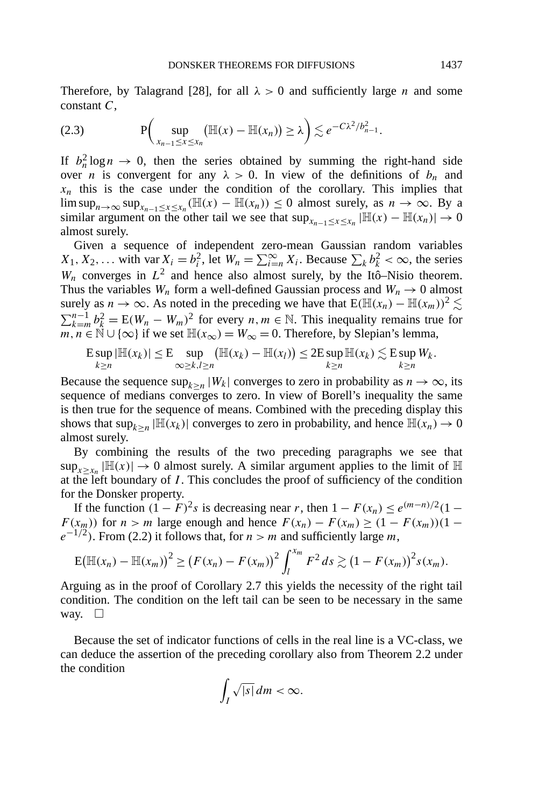Therefore, by Talagrand [28], for all  $\lambda > 0$  and sufficiently large *n* and some constant *C*,

$$
(2.3) \tP\bigg(\sup_{x_{n-1}\leq x\leq x_n} \bigl(\mathbb{H}(x)-\mathbb{H}(x_n)\bigr)\geq \lambda\bigg)\lesssim e^{-C\lambda^2/b_{n-1}^2}.
$$

If  $b_n^2 \log n \to 0$ , then the series obtained by summing the right-hand side over *n* is convergent for any  $\lambda > 0$ . In view of the definitions of  $b_n$  and  $x_n$  this is the case under the condition of the corollary. This implies that lim sup<sub>*n*→∞</sub> sup<sub>*x<sub>n-1</sub>*≤*x*≤*x<sub>n</sub>*</sub> ( $\mathbb{H}(x)$  −  $\mathbb{H}(x_n)$ ) ≤ 0 almost surely, as *n* → ∞. By a similar argument on the other tail we see that  $\sup_{x_{n-1} \le x \le x_n} |\mathbb{H}(x) - \mathbb{H}(x_n)| \to 0$ almost surely.

Given a sequence of independent zero-mean Gaussian random variables  $X_1, X_2, \ldots$  with var  $X_i = b_i^2$ , let  $W_n = \sum_{i=0}^{\infty} X_i$ . Because  $\sum_k b_k^2 < \infty$ , the series  $W_n$  converges in  $L^2$  and hence also almost surely, by the Itô–Nisio theorem. Thus the variables  $W_n$  form a well-defined Gaussian process and  $W_n \to 0$  almost surely as  $n \to \infty$ . As noted in the preceding we have that  $E(\mathbb{H}(x_n) - \mathbb{H}(x_m))^2 \lesssim$  $\sum_{k=m}^{n-1} b_k^2 = E(W_n - W_m)^2$  for every *n, m* ∈ N. This inequality remains true for  $m, n \in \mathbb{N} \cup \{\infty\}$  if we set  $\mathbb{H}(x_{\infty}) = W_{\infty} = 0$ . Therefore, by Slepian's lemma,

$$
\mathbb{E}\sup_{k\geq n}|\mathbb{H}(x_k)|\leq \mathbb{E}\sup_{\infty\geq k,l\geq n}(\mathbb{H}(x_k)-\mathbb{H}(x_l))\leq 2\mathbb{E}\sup_{k\geq n}\mathbb{H}(x_k)\lesssim \mathbb{E}\sup_{k\geq n}W_k.
$$

Because the sequence  $\sup_{k>n} |W_k|$  converges to zero in probability as  $n \to \infty$ , its sequence of medians converges to zero. In view of Borell's inequality the same is then true for the sequence of means. Combined with the preceding display this shows that  $\sup_{k>n} |\mathbb{H}(x_k)|$  converges to zero in probability, and hence  $\mathbb{H}(x_n) \to 0$ almost surely.

By combining the results of the two preceding paragraphs we see that  $\sup_{x>x_n} |\mathbb{H}(x)| \to 0$  almost surely. A similar argument applies to the limit of  $\mathbb{H}$ at the left boundary of *I* . This concludes the proof of sufficiency of the condition for the Donsker property.

If the function  $(1 - F)^2 s$  is decreasing near *r*, then  $1 - F(x_n) \le e^{(m-n)/2} (1 -$ *F*( $x_m$ )) for *n* > *m* large enough and hence  $F(x_n) - F(x_m) \geq (1 - F(x_m))(1$  $e^{-1/2}$ ). From (2.2) it follows that, for *n > m* and sufficiently large *m*,

$$
\mathbb{E}(\mathbb{H}(x_n) - \mathbb{H}(x_m))^2 \ge (F(x_n) - F(x_m))^2 \int_l^{x_m} F^2 ds \gtrsim (1 - F(x_m))^2 s(x_m).
$$

Arguing as in the proof of Corollary 2.7 this yields the necessity of the right tail condition. The condition on the left tail can be seen to be necessary in the same way.  $\square$ 

Because the set of indicator functions of cells in the real line is a VC-class, we can deduce the assertion of the preceding corollary also from Theorem 2.2 under the condition

$$
\int_I \sqrt{|s|} \, dm < \infty.
$$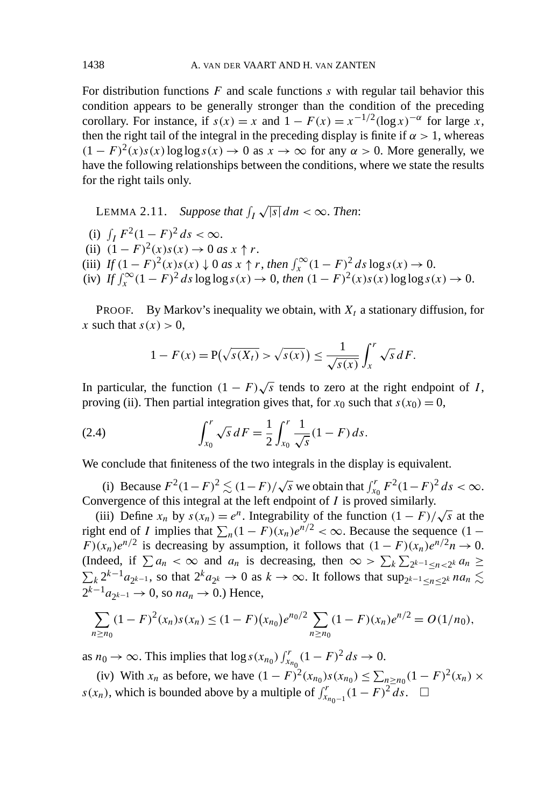For distribution functions *F* and scale functions *s* with regular tail behavior this condition appears to be generally stronger than the condition of the preceding corollary. For instance, if  $s(x) = x$  and  $1 - F(x) = x^{-1/2}(\log x)^{-\alpha}$  for large *x*, then the right tail of the integral in the preceding display is finite if  $\alpha > 1$ , whereas  $(1 - F)^2(x)s(x) \log \log s(x) \to 0$  as  $x \to \infty$  for any  $\alpha > 0$ . More generally, we have the following relationships between the conditions, where we state the results for the right tails only.

LEMMA 2.11. Suppose that  $\int_I \sqrt{|s|} \, dm < \infty$ . Then: (i)  $\int_I F^2 (1 - F)^2 ds < \infty$ . (ii)  $(1 - F)^2(x)s(x) \to 0$  *as*  $x \uparrow r$ . (iii)  $If (1 - F)^2(x)s(x) \downarrow 0 \text{ as } x \uparrow r, then \int_x^\infty (1 - F)^2 ds \log s(x) \to 0.$  $\int f(x) \int_x^{\infty} (1 - F)^2 ds \log \log s(x) \to 0$ , *then*  $(1 - F)^2(x) s(x) \log \log s(x) \to 0$ .

PROOF. By Markov's inequality we obtain, with  $X_t$  a stationary diffusion, for *x* such that  $s(x) > 0$ ,

$$
1 - F(x) = P(\sqrt{s(X_t)} > \sqrt{s(x)}) \le \frac{1}{\sqrt{s(x)}} \int_x^r \sqrt{s} dF.
$$

In particular, the function  $(1 - F)\sqrt{s}$  tends to zero at the right endpoint of *I*, proving (ii). Then partial integration gives that, for  $x_0$  such that  $s(x_0) = 0$ ,

(2.4) 
$$
\int_{x_0}^r \sqrt{s} \, dF = \frac{1}{2} \int_{x_0}^r \frac{1}{\sqrt{s}} (1 - F) \, ds.
$$

We conclude that finiteness of the two integrals in the display is equivalent.

(i) Because  $F^2(1 - F)^2 \lesssim (1 - F)/\sqrt{s}$  we obtain that  $\int_{x_0}^r F^2(1 - F)^2 ds < \infty$ . Convergence of this integral at the left endpoint of *I* is proved similarly.

(iii) Define  $x_n$  by  $s(x_n) = e^n$ . Integrability of the function  $(1 - F)/\sqrt{s}$  at the right end of *I* implies that  $\sum_{n}(1 - F)(x_n)e^{n/2} < \infty$ . Because the sequence  $(1 -$ *F* $)(x_n)e^{n/2}$  is decreasing by assumption, it follows that  $(1 - F)(x_n)e^{n/2}n \to 0$ . (Indeed, if  $\sum a_n < \infty$  and  $a_n$  is decreasing, then  $\infty > \sum_k \sum_{2^{k-1} \leq n < 2^k} a_n \geq$  $\sum_k 2^{k-1}a_{2^{k-1}}$ , so that  $2^k a_{2^k} \to 0$  as  $k \to \infty$ . It follows that  $\sup_{2^{k-1} \le n \le 2^k} a_n \lesssim$  $2^{k-1}a_{2^{k-1}} \rightarrow 0$ , so  $na_n \rightarrow 0$ .) Hence,

$$
\sum_{n\geq n_0} (1-F)^2(x_n) s(x_n) \leq (1-F)(x_{n_0})e^{n_0/2} \sum_{n\geq n_0} (1-F)(x_n)e^{n/2} = O(1/n_0),
$$

as *n*<sup>0</sup> → ∞. This implies that  $\log s(x_{n_0}) \int_{x_{n_0}}^r (1 - F)^2 ds \to 0$ .

(iv) With  $x_n$  as before, we have  $(1 - F)^2 (x_{n_0}) s(x_{n_0}) \le \sum_{n \ge n_0} (1 - F)^2 (x_n) \times$ *s*(*x<sub>n</sub>*), which is bounded above by a multiple of  $\int_{x_{n_0-1}}^{r} (1 - F)^2 ds$ . □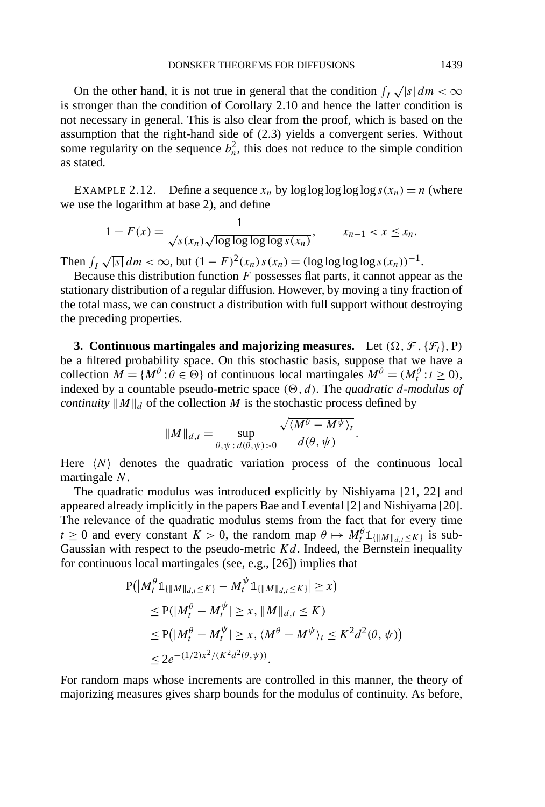On the other hand, it is not true in general that the condition  $\int_I \sqrt{|s|} dm < \infty$ is stronger than the condition of Corollary 2.10 and hence the latter condition is not necessary in general. This is also clear from the proof, which is based on the assumption that the right-hand side of (2.3) yields a convergent series. Without some regularity on the sequence  $b_n^2$ , this does not reduce to the simple condition as stated.

EXAMPLE 2.12. Define a sequence  $x_n$  by  $\log \log \log \log x(x_n) = n$  (where we use the logarithm at base 2), and define

$$
1 - F(x) = \frac{1}{\sqrt{s(x_n)}\sqrt{\log \log \log \log s(x_n)}}, \qquad x_{n-1} < x \leq x_n.
$$

Then  $\int_I \sqrt{|s|} dm < \infty$ , but  $(1 - F)^2(x_n) s(x_n) = (\log \log \log s(x_n))^{-1}$ .

Because this distribution function *F* possesses flat parts, it cannot appear as the stationary distribution of a regular diffusion. However, by moving a tiny fraction of the total mass, we can construct a distribution with full support without destroying the preceding properties.

**3. Continuous martingales and majorizing measures.** Let  $(\Omega, \mathcal{F}, {\mathcal{F}_t}, P)$ be a filtered probability space. On this stochastic basis, suppose that we have a collection  $M = \{M^{\theta} : \theta \in \Theta\}$  of continuous local martingales  $M^{\theta} = (M^{\theta}_t : t \ge 0)$ , indexed by a countable pseudo-metric space  $(\Theta, d)$ . The *quadratic d-modulus of continuity*  $\|M\|_d$  of the collection *M* is the stochastic process defined by

$$
||M||_{d,t} = \sup_{\theta,\psi \,:\, d(\theta,\psi) > 0} \frac{\sqrt{\langle M^{\theta} - M^{\psi} \rangle_t}}{d(\theta,\psi)}.
$$

Here  $\langle N \rangle$  denotes the quadratic variation process of the continuous local martingale *N*.

The quadratic modulus was introduced explicitly by Nishiyama [21, 22] and appeared already implicitly in the papers Bae and Levental [2] and Nishiyama [20]. The relevance of the quadratic modulus stems from the fact that for every time *t*  $\geq$  0 and every constant *K* > 0, the random map  $\theta \mapsto M_t^{\theta} \mathbb{1}_{\{\|M\|_{d,t} \leq K\}}$  is sub-Gaussian with respect to the pseudo-metric *Kd*. Indeed, the Bernstein inequality for continuous local martingales (see, e.g., [26]) implies that

$$
P(|M_t^{\theta}1_{\{\|M\|_{d,t}\leq K\}} - M_t^{\psi}1_{\{\|M\|_{d,t}\leq K\}}| \geq x)
$$
  
\n
$$
\leq P(|M_t^{\theta} - M_t^{\psi}| \geq x, \|M\|_{d,t} \leq K)
$$
  
\n
$$
\leq P(|M_t^{\theta} - M_t^{\psi}| \geq x, \langle M^{\theta} - M^{\psi} \rangle_t \leq K^2 d^2(\theta, \psi))
$$
  
\n
$$
\leq 2e^{-(1/2)x^2/(K^2d^2(\theta, \psi))}.
$$

For random maps whose increments are controlled in this manner, the theory of majorizing measures gives sharp bounds for the modulus of continuity. As before,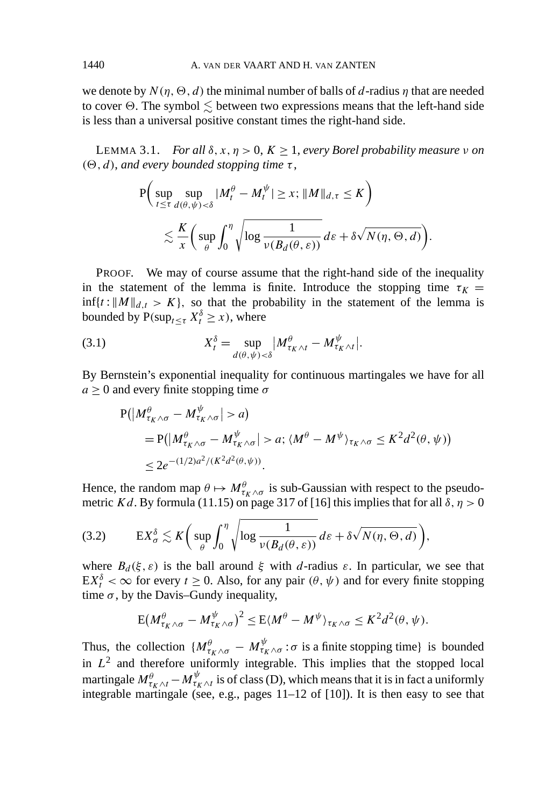we denote by  $N(\eta, \Theta, d)$  the minimal number of balls of *d*-radius  $\eta$  that are needed to cover  $\Theta.$  The symbol  $\lesssim$  between two expressions means that the left-hand side is less than a universal positive constant times the right-hand side.

LEMMA 3.1. *For all*  $\delta, x, \eta > 0, K > 1$ , *every Borel probability measure v on*  $(\Theta, d)$ *, and every bounded stopping time*  $\tau$ *,* 

$$
P\left(\sup_{t\leq \tau} \sup_{d(\theta,\psi)<\delta} |M_t^{\theta} - M_t^{\psi}| \geq x; \|M\|_{d,\tau} \leq K\right)
$$
  
\$\lesssim \frac{K}{x} \left(\sup\_{\theta} \int\_0^{\eta} \sqrt{\log \frac{1}{\nu(B\_d(\theta,\varepsilon))}} d\varepsilon + \delta \sqrt{N(\eta,\Theta,d)}\right).

PROOF. We may of course assume that the right-hand side of the inequality in the statement of the lemma is finite. Introduce the stopping time  $\tau_K =$  $\inf\{t : ||M||_{d,t} > K\}$ , so that the probability in the statement of the lemma is bounded by  $P(\sup_{t \leq \tau} X_t^{\delta} \geq x)$ , where

(3.1) 
$$
X_t^{\delta} = \sup_{d(\theta,\psi) < \delta} |M_{\tau_K \wedge t}^{\theta} - M_{\tau_K \wedge t}^{\psi}|.
$$

By Bernstein's exponential inequality for continuous martingales we have for all  $a > 0$  and every finite stopping time  $\sigma$ 

$$
P(|M^{\theta}_{\tau_K \wedge \sigma} - M^{\psi}_{\tau_K \wedge \sigma}| > a)
$$
  
=  $P(|M^{\theta}_{\tau_K \wedge \sigma} - M^{\psi}_{\tau_K \wedge \sigma}| > a; \langle M^{\theta} - M^{\psi} \rangle_{\tau_K \wedge \sigma} \le K^2 d^2(\theta, \psi))$   
 $\le 2e^{-(1/2)a^2/(K^2d^2(\theta, \psi))}.$ 

Hence, the random map  $\theta \mapsto M_{\tau_K \wedge \sigma}^{\theta}$  is sub-Gaussian with respect to the pseudometric *Kd*. By formula (11.15) on page 317 of [16] this implies that for all  $\delta$ ,  $\eta > 0$ 

E*X<sup>δ</sup> <sup>σ</sup>* - *K* sup *θ <sup>η</sup>* 0 log 1 *ν(Bd (θ , ε)) dε* + *δ N (η, , d)* (3.2) *,*

where  $B_d(\xi, \varepsilon)$  is the ball around  $\xi$  with *d*-radius  $\varepsilon$ . In particular, we see that  $EX_t^{\delta} < \infty$  for every  $t \ge 0$ . Also, for any pair  $(\theta, \psi)$  and for every finite stopping time  $\sigma$ , by the Davis–Gundy inequality,

$$
E(M^{\theta}_{\tau_K \wedge \sigma} - M^{\psi}_{\tau_K \wedge \sigma})^2 \leq E(M^{\theta} - M^{\psi})_{\tau_K \wedge \sigma} \leq K^2 d^2(\theta, \psi).
$$

Thus, the collection  $\{M^\theta_{\tau_K\wedge \sigma} - M^\psi_{\tau_K\wedge \sigma} : \sigma \text{ is a finite stopping time}\}$  is bounded in  $L^2$  and therefore uniformly integrable. This implies that the stopped local martingale  $M_{\tau_K\wedge t}^\theta - M_{\tau_K\wedge t}^\psi$  is of class (D), which means that it is in fact a uniformly integrable martingale (see, e.g., pages 11–12 of [10]). It is then easy to see that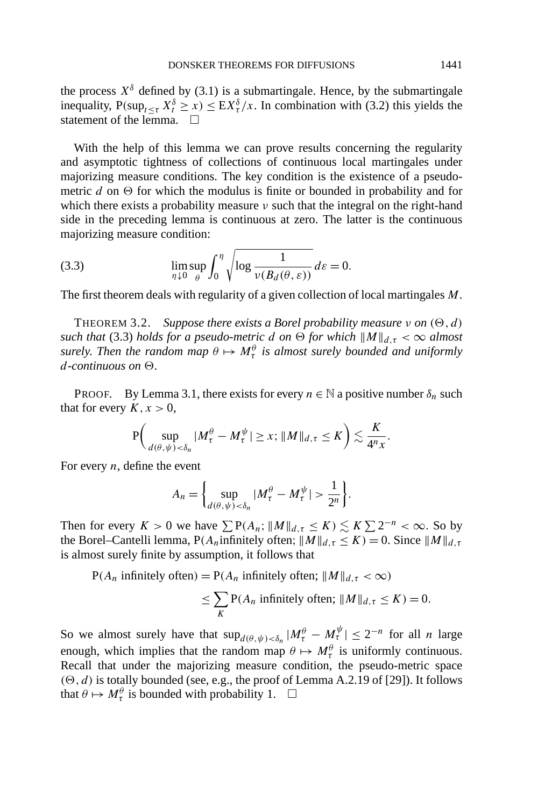the process  $X^{\delta}$  defined by (3.1) is a submartingale. Hence, by the submartingale inequality,  $P(\sup_{t \leq \tau} X_t^{\delta} \geq x) \leq \mathbb{E}[X_t^{\delta}/x]$ . In combination with (3.2) this yields the statement of the lemma.

With the help of this lemma we can prove results concerning the regularity and asymptotic tightness of collections of continuous local martingales under majorizing measure conditions. The key condition is the existence of a pseudometric  $d$  on  $\Theta$  for which the modulus is finite or bounded in probability and for which there exists a probability measure *ν* such that the integral on the right-hand side in the preceding lemma is continuous at zero. The latter is the continuous majorizing measure condition:

(3.3) 
$$
\lim_{\eta \downarrow 0} \sup_{\theta} \int_0^{\eta} \sqrt{\log \frac{1}{\nu(B_d(\theta, \varepsilon))}} d\varepsilon = 0.
$$

The first theorem deals with regularity of a given collection of local martingales *M*.

THEOREM 3.2. *Suppose there exists a Borel probability measure*  $\nu$  *on*  $(\Theta, d)$ *such that* (3.3) *holds for a pseudo-metric d on*  $\Theta$  *for which*  $||M||_{d,\tau} < \infty$  *almost surely. Then the random map*  $\theta \mapsto M_\tau^\theta$  *is almost surely bounded and uniformly*  $d$ *-continuous on*  $\Theta$ .

PROOF. By Lemma 3.1, there exists for every  $n \in \mathbb{N}$  a positive number  $\delta_n$  such that for every  $K, x > 0$ ,

$$
\mathbf{P}\bigg(\sup_{d(\theta,\psi)<\delta_n}|M_{\tau}^{\theta}-M_{\tau}^{\psi}|\geq x;\|M\|_{d,\tau}\leq K\bigg)\lesssim \frac{K}{4^n x}.
$$

For every *n*, define the event

$$
A_n = \left\{ \sup_{d(\theta,\psi) < \delta_n} |M_\tau^\theta - M_\tau^\psi| > \frac{1}{2^n} \right\}.
$$

Then for every  $K > 0$  we have  $\sum P(A_n; ||M||_{d,\tau} \le K) \lesssim K \sum 2^{-n} < \infty$ . So by the Borel–Cantelli lemma,  $P(A_n)$ infinitely often;  $\|M\|_{d,\tau} \leq K$ ) = 0. Since  $\|M\|_{d,\tau}$ is almost surely finite by assumption, it follows that

$$
P(A_n \text{ infinitely often}) = P(A_n \text{ infinitely often}; ||M||_{d,\tau} < \infty)
$$
  

$$
\leq \sum_{K} P(A_n \text{ infinitely often}; ||M||_{d,\tau} \leq K) = 0.
$$

So we almost surely have that  $\sup_{d(\theta,\psi) < \delta_n} |M^\theta_\tau - M^\psi_\tau| \leq 2^{-n}$  for all *n* large enough, which implies that the random map  $\theta \mapsto M_{\tau}^{\theta}$  is uniformly continuous. Recall that under the majorizing measure condition, the pseudo-metric space  $(0, d)$  is totally bounded (see, e.g., the proof of Lemma A.2.19 of [29]). It follows that  $\theta \mapsto M_\tau^\theta$  is bounded with probability 1.  $\Box$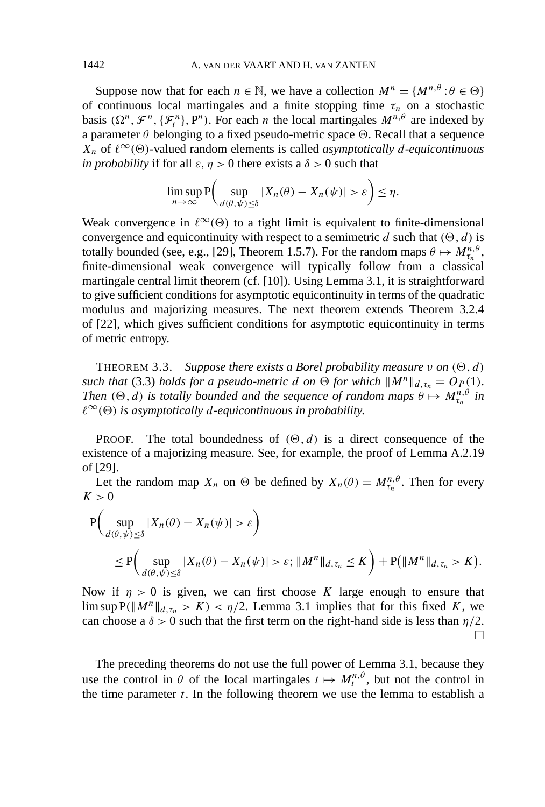Suppose now that for each  $n \in \mathbb{N}$ , we have a collection  $M^n = \{M^{n,\theta} : \theta \in \Theta\}$ of continuous local martingales and a finite stopping time  $\tau_n$  on a stochastic basis  $(\Omega^n, \mathcal{F}^n, \{\mathcal{F}^n_i\}, P^n)$ . For each *n* the local martingales  $M^{n,\theta}$  are indexed by a parameter  $\theta$  belonging to a fixed pseudo-metric space  $\Theta$ . Recall that a sequence  $X_n$  of  $\ell^{\infty}(\Theta)$ -valued random elements is called *asymptotically d-equicontinuous in probability* if for all  $\varepsilon$ ,  $\eta > 0$  there exists a  $\delta > 0$  such that

$$
\limsup_{n\to\infty} \mathbf{P}\bigg(\sup_{d(\theta,\psi)\leq\delta} |X_n(\theta)-X_n(\psi)|>\varepsilon\bigg)\leq\eta.
$$

Weak convergence in  $\ell^{\infty}(\Theta)$  to a tight limit is equivalent to finite-dimensional convergence and equicontinuity with respect to a semimetric *d* such that  $(\Theta, d)$  is totally bounded (see, e.g., [29], Theorem 1.5.7). For the random maps  $\theta \mapsto M_{\tau_n}^{n,\theta}$ , finite-dimensional weak convergence will typically follow from a classical martingale central limit theorem (cf. [10]). Using Lemma 3.1, it is straightforward to give sufficient conditions for asymptotic equicontinuity in terms of the quadratic modulus and majorizing measures. The next theorem extends Theorem 3.2.4 of [22], which gives sufficient conditions for asymptotic equicontinuity in terms of metric entropy.

THEOREM 3.3. *Suppose there exists a Borel probability measure*  $\nu$  *on*  $(\Theta, d)$ *such that* (3.3) *holds for a pseudo-metric <i>d on*  $\Theta$  *for which*  $||M^n||_{d,\tau_n} = O_P(1)$ . *Then*  $(\Theta, d)$  *is totally bounded and the sequence of random maps*  $\theta \mapsto M_{\tau_n}^{n, \theta}$  *in*  $\ell^{\infty}(\Theta)$  *is asymptotically d-equicontinuous in probability.* 

**PROOF.** The total boundedness of  $(\Theta, d)$  is a direct consequence of the existence of a majorizing measure. See, for example, the proof of Lemma A.2.19 of [29].

Let the random map  $X_n$  on  $\Theta$  be defined by  $X_n(\theta) = M_{\tau_n}^{n,\theta}$ . Then for every  $K > 0$ 

$$
P\left(\sup_{d(\theta,\psi)\leq\delta}|X_n(\theta)-X_n(\psi)|>\varepsilon\right)
$$
  
\n
$$
\leq P\left(\sup_{d(\theta,\psi)\leq\delta}|X_n(\theta)-X_n(\psi)|>\varepsilon;\|M^n\|_{d,\tau_n}\leq K\right)+P(\|M^n\|_{d,\tau_n}>K).
$$

Now if  $\eta > 0$  is given, we can first choose *K* large enough to ensure that lim sup  $P(\|M^n\|_{d,\tau_n} > K) < \eta/2$ . Lemma 3.1 implies that for this fixed *K*, we can choose a  $\delta > 0$  such that the first term on the right-hand side is less than  $\eta/2$ .  $\Box$ 

The preceding theorems do not use the full power of Lemma 3.1, because they use the control in  $\theta$  of the local martingales  $t \mapsto M_t^{n,\theta}$ , but not the control in the time parameter  $t$ . In the following theorem we use the lemma to establish a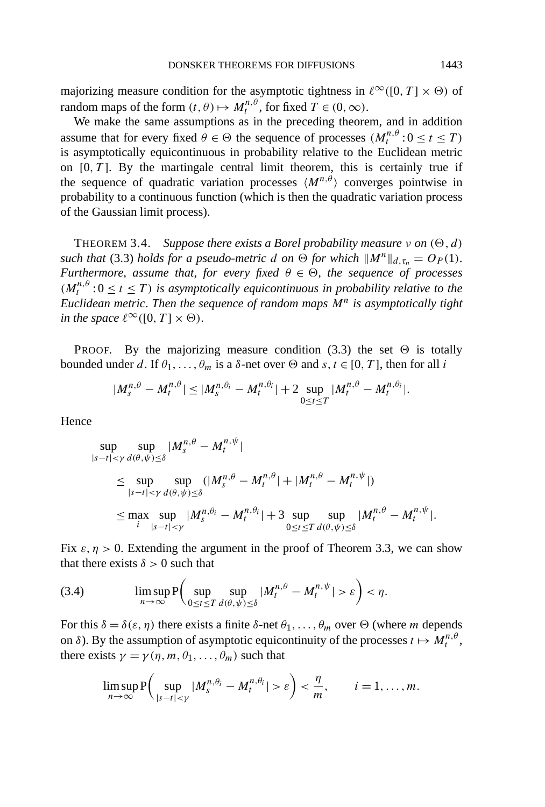majorizing measure condition for the asymptotic tightness in  $\ell^{\infty}([0, T] \times \Theta)$  of random maps of the form  $(t, \theta) \mapsto M_t^{n, \theta}$ , for fixed  $T \in (0, \infty)$ .

We make the same assumptions as in the preceding theorem, and in addition assume that for every fixed  $\theta \in \Theta$  the sequence of processes  $(M_t^{n,\theta}: 0 \le t \le T)$ is asymptotically equicontinuous in probability relative to the Euclidean metric on  $[0, T]$ . By the martingale central limit theorem, this is certainly true if the sequence of quadratic variation processes  $\langle M^{n,\theta} \rangle$  converges pointwise in probability to a continuous function (which is then the quadratic variation process of the Gaussian limit process).

THEOREM 3.4. *Suppose there exists a Borel probability measure*  $\nu$  *on*  $(\Theta, d)$ *such that* (3.3) *holds for a pseudo-metric d on*  $\Theta$  *for which*  $||M^n||_{d,\tau_n} = O_P(1)$ . *Furthermore, assume that, for every fixed*  $\theta \in \Theta$ *, the sequence of processes*  $(M_t^{n,\theta}: 0 \le t \le T)$  *is asymptotically equicontinuous in probability relative to the Euclidean metric*. *Then the sequence of random maps M<sup>n</sup> is asymptotically tight in the space*  $\ell^{\infty}([0, T] \times \Theta)$ .

PROOF. By the majorizing measure condition (3.3) the set  $\Theta$  is totally bounded under *d*. If  $θ_1, ..., θ_m$  is a  $δ$ -net over  $Θ$  and  $s, t ∈ [0, T]$ , then for all *i* 

$$
|M_s^{n,\theta} - M_t^{n,\theta}| \leq |M_s^{n,\theta_i} - M_t^{n,\theta_i}| + 2 \sup_{0 \leq t \leq T} |M_t^{n,\theta} - M_t^{n,\theta_i}|.
$$

Hence

$$
\sup_{|s-t| < \gamma} \sup_{d(\theta,\psi) \le \delta} |M_s^{n,\theta} - M_t^{n,\psi}|
$$
\n
$$
\le \sup_{|s-t| < \gamma} \sup_{d(\theta,\psi) \le \delta} (|M_s^{n,\theta} - M_t^{n,\theta}| + |M_t^{n,\theta} - M_t^{n,\psi}|)
$$
\n
$$
\le \max_{i} \sup_{|s-t| < \gamma} |M_s^{n,\theta_i} - M_t^{n,\theta_i}| + 3 \sup_{0 \le t \le T} \sup_{d(\theta,\psi) \le \delta} |M_t^{n,\theta} - M_t^{n,\psi}|.
$$

Fix  $\varepsilon$ ,  $\eta > 0$ . Extending the argument in the proof of Theorem 3.3, we can show that there exists  $\delta > 0$  such that

(3.4) 
$$
\limsup_{n\to\infty} P\bigg(\sup_{0\leq t\leq T}\sup_{d(\theta,\psi)\leq\delta}|M_t^{n,\theta}-M_t^{n,\psi}|>\varepsilon\bigg)<\eta.
$$

For this  $\delta = \delta(\varepsilon, \eta)$  there exists a finite  $\delta$ -net  $\theta_1, \ldots, \theta_m$  over  $\Theta$  (where *m* depends on  $\delta$ ). By the assumption of asymptotic equicontinuity of the processes  $t \mapsto M_t^{n,\theta}$ , there exists  $\gamma = \gamma(\eta, m, \theta_1, \dots, \theta_m)$  such that

$$
\limsup_{n\to\infty} \mathbf{P}\bigg(\sup_{|s-t|<\gamma} |M_s^{n,\theta_i}-M_t^{n,\theta_i}|>\varepsilon\bigg)<\frac{\eta}{m}, \qquad i=1,\ldots,m.
$$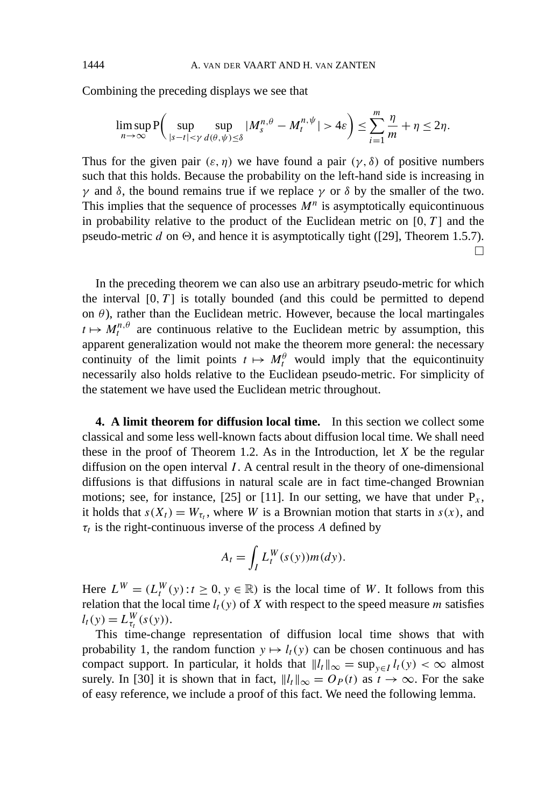Combining the preceding displays we see that

$$
\limsup_{n\to\infty} \mathbf{P}\bigg(\sup_{|s-t|<\gamma} \sup_{d(\theta,\psi)\leq \delta} |M_s^{n,\theta} - M_t^{n,\psi}| > 4\varepsilon\bigg) \leq \sum_{i=1}^m \frac{\eta}{m} + \eta \leq 2\eta.
$$

Thus for the given pair  $(\varepsilon, \eta)$  we have found a pair  $(\gamma, \delta)$  of positive numbers such that this holds. Because the probability on the left-hand side is increasing in *γ* and *δ*, the bound remains true if we replace *γ* or *δ* by the smaller of the two. This implies that the sequence of processes  $M^n$  is asymptotically equicontinuous in probability relative to the product of the Euclidean metric on  $[0, T]$  and the pseudo-metric *d* on  $\Theta$ , and hence it is asymptotically tight ([29], Theorem 1.5.7).  $\Box$ 

In the preceding theorem we can also use an arbitrary pseudo-metric for which the interval  $[0, T]$  is totally bounded (and this could be permitted to depend on  $\theta$ ), rather than the Euclidean metric. However, because the local martingales  $t \mapsto M_t^{n,\theta}$  are continuous relative to the Euclidean metric by assumption, this apparent generalization would not make the theorem more general: the necessary continuity of the limit points  $t \mapsto M_t^{\theta}$  would imply that the equicontinuity necessarily also holds relative to the Euclidean pseudo-metric. For simplicity of the statement we have used the Euclidean metric throughout.

**4. A limit theorem for diffusion local time.** In this section we collect some classical and some less well-known facts about diffusion local time. We shall need these in the proof of Theorem 1.2. As in the Introduction, let *X* be the regular diffusion on the open interval *I* . A central result in the theory of one-dimensional diffusions is that diffusions in natural scale are in fact time-changed Brownian motions; see, for instance, [25] or [11]. In our setting, we have that under  $P_x$ , it holds that  $s(X_t) = W_{\tau_t}$ , where *W* is a Brownian motion that starts in  $s(x)$ , and  $\tau_t$  is the right-continuous inverse of the process *A* defined by

$$
A_t = \int_I L_t^W(s(y))m(dy).
$$

Here  $L^W = (L_t^W(y): t \ge 0, y \in \mathbb{R})$  is the local time of *W*. It follows from this relation that the local time  $l_t(y)$  of *X* with respect to the speed measure *m* satisfies  $l_t(y) = L_{\tau_t}^W(s(y)).$ 

This time-change representation of diffusion local time shows that with probability 1, the random function  $y \mapsto l_t(y)$  can be chosen continuous and has compact support. In particular, it holds that  $||l_t||_{\infty} = \sup_{y \in I} l_t(y) < \infty$  almost surely. In [30] it is shown that in fact,  $||l_t||_{\infty} = O_P(t)$  as  $t \to \infty$ . For the sake of easy reference, we include a proof of this fact. We need the following lemma.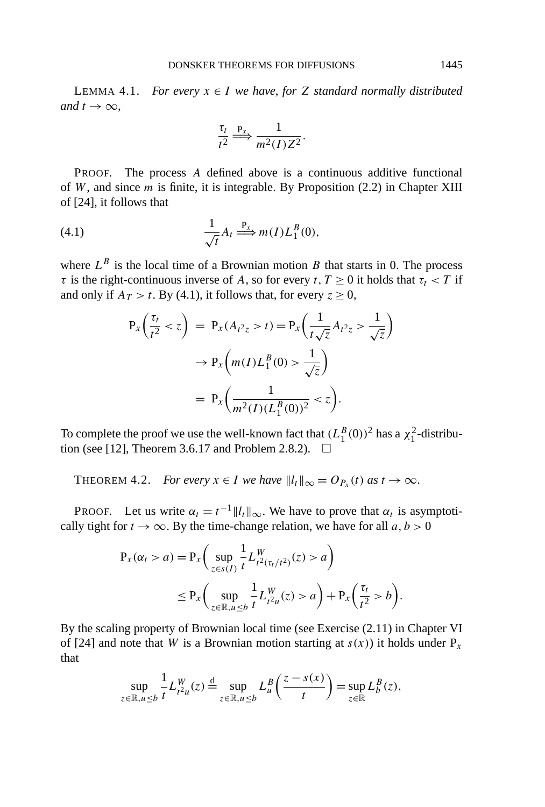LEMMA 4.1. *For every*  $x \in I$  *we have, for Z standard normally distributed and*  $t \rightarrow \infty$ ,

$$
\frac{\tau_t}{t^2} \stackrel{\mathbf{P}_x}{\Longrightarrow} \frac{1}{m^2(I)Z^2}.
$$

PROOF. The process *A* defined above is a continuous additive functional of *W*, and since *m* is finite, it is integrable. By Proposition (2.2) in Chapter XIII of [24], it follows that

(4.1) 
$$
\frac{1}{\sqrt{t}}A_t \stackrel{\mathbf{P}_x}{\Longrightarrow} m(I)L_1^B(0),
$$

where  $L^B$  is the local time of a Brownian motion *B* that starts in 0. The process *τ* is the right-continuous inverse of *A*, so for every *t*,  $T \ge 0$  it holds that  $\tau_t < T$  if and only if  $A_T > t$ . By (4.1), it follows that, for every  $z \ge 0$ ,

$$
P_x\left(\frac{\tau_t}{t^2} < z\right) = P_x(A_{t^2z} > t) = P_x\left(\frac{1}{t\sqrt{z}}A_{t^2z} > \frac{1}{\sqrt{z}}\right) \\
\to P_x\left(m(I)L_1^B(0) > \frac{1}{\sqrt{z}}\right) \\
= P_x\left(\frac{1}{m^2(I)(L_1^B(0))^2} < z\right).
$$

To complete the proof we use the well-known fact that  $(L_1^B(0))^2$  has a  $\chi_1^2$ -distribution (see [12], Theorem 3.6.17 and Problem 2.8.2).  $\square$ 

THEOREM 4.2. *For every*  $x \in I$  *we have*  $||l_t||_{\infty} = O_{P_x}(t)$  *as*  $t \to \infty$ .

PROOF. Let us write  $\alpha_t = t^{-1} ||l_t||_{\infty}$ . We have to prove that  $\alpha_t$  is asymptotically tight for  $t \to \infty$ . By the time-change relation, we have for all  $a, b > 0$ 

$$
P_x(\alpha_t > a) = P_x \left( \sup_{z \in s(I)} \frac{1}{t} L_{t^2(\tau_t / t^2)}^W(z) > a \right)
$$
  
 
$$
\leq P_x \left( \sup_{z \in \mathbb{R}, u \leq b} \frac{1}{t} L_{t^2 u}^W(z) > a \right) + P_x \left( \frac{\tau_t}{t^2} > b \right).
$$

By the scaling property of Brownian local time (see Exercise (2.11) in Chapter VI of [24] and note that *W* is a Brownian motion starting at  $s(x)$ ) it holds under  $P_x$ that

$$
\sup_{z \in \mathbb{R}, u \le b} \frac{1}{t} L_{t^2 u}^W(z) \stackrel{\text{d}}{=} \sup_{z \in \mathbb{R}, u \le b} L_u^B \left( \frac{z - s(x)}{t} \right) = \sup_{z \in \mathbb{R}} L_b^B(z),
$$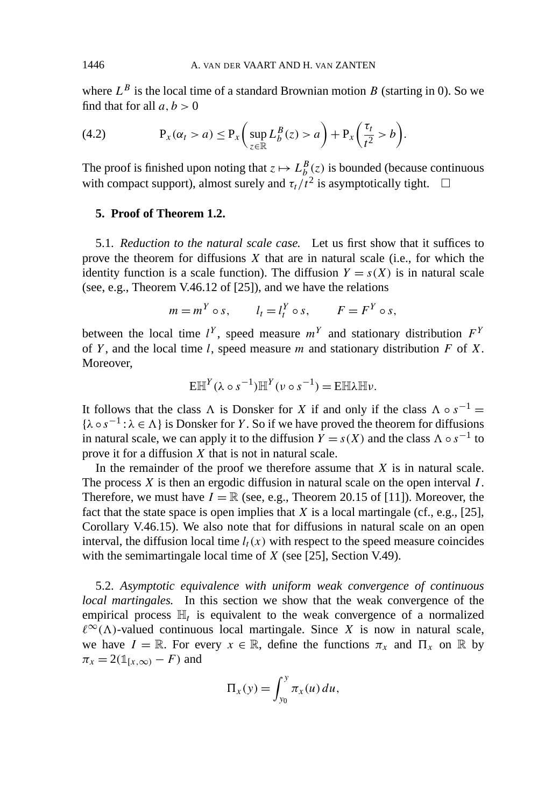where  $L^B$  is the local time of a standard Brownian motion *B* (starting in 0). So we find that for all  $a, b > 0$ 

(4.2) 
$$
P_x(\alpha_t > a) \le P_x\left(\sup_{z \in \mathbb{R}} L_b^B(z) > a\right) + P_x\left(\frac{\tau_t}{t^2} > b\right).
$$

The proof is finished upon noting that  $z \mapsto L_b^B(z)$  is bounded (because continuous with compact support), almost surely and  $\tau_t/t^2$  is asymptotically tight.  $\square$ 

## **5. Proof of Theorem 1.2.**

5.1. *Reduction to the natural scale case.* Let us first show that it suffices to prove the theorem for diffusions *X* that are in natural scale (i.e., for which the identity function is a scale function). The diffusion  $Y = s(X)$  is in natural scale (see, e.g., Theorem V.46.12 of [25]), and we have the relations

$$
m = m^Y \circ s, \qquad l_t = l_t^Y \circ s, \qquad F = F^Y \circ s,
$$

between the local time  $l^Y$ , speed measure  $m^Y$  and stationary distribution  $F^Y$ of *Y* , and the local time *l*, speed measure *m* and stationary distribution *F* of *X*. Moreover,

$$
E\mathbb{H}^Y(\lambda \circ s^{-1})\mathbb{H}^Y(\nu \circ s^{-1}) = E\mathbb{H}\lambda \mathbb{H}\nu.
$$

It follows that the class  $\Lambda$  is Donsker for *X* if and only if the class  $\Lambda \circ s^{-1} =$  ${\lambda \circ s^{-1} : \lambda \in \Lambda}$  is Donsker for *Y*. So if we have proved the theorem for diffusions in natural scale, we can apply it to the diffusion  $\overline{Y} = s(X)$  and the class  $\Lambda \circ s^{-1}$  to prove it for a diffusion *X* that is not in natural scale.

In the remainder of the proof we therefore assume that  $X$  is in natural scale. The process *X* is then an ergodic diffusion in natural scale on the open interval *I* . Therefore, we must have  $I = \mathbb{R}$  (see, e.g., Theorem 20.15 of [11]). Moreover, the fact that the state space is open implies that *X* is a local martingale (cf., e.g., [25], Corollary V.46.15). We also note that for diffusions in natural scale on an open interval, the diffusion local time  $l_t(x)$  with respect to the speed measure coincides with the semimartingale local time of *X* (see [25], Section V.49).

5.2. *Asymptotic equivalence with uniform weak convergence of continuous local martingales.* In this section we show that the weak convergence of the empirical process  $\mathbb{H}_t$  is equivalent to the weak convergence of a normalized  $\ell^{\infty}(\Lambda)$ -valued continuous local martingale. Since *X* is now in natural scale, we have  $I = \mathbb{R}$ . For every  $x \in \mathbb{R}$ , define the functions  $\pi_x$  and  $\Pi_x$  on  $\mathbb{R}$  by  $\pi_x = 2(\mathbb{1}_{[x,\infty)} - F)$  and

$$
\Pi_x(y) = \int_{y_0}^y \pi_x(u) du,
$$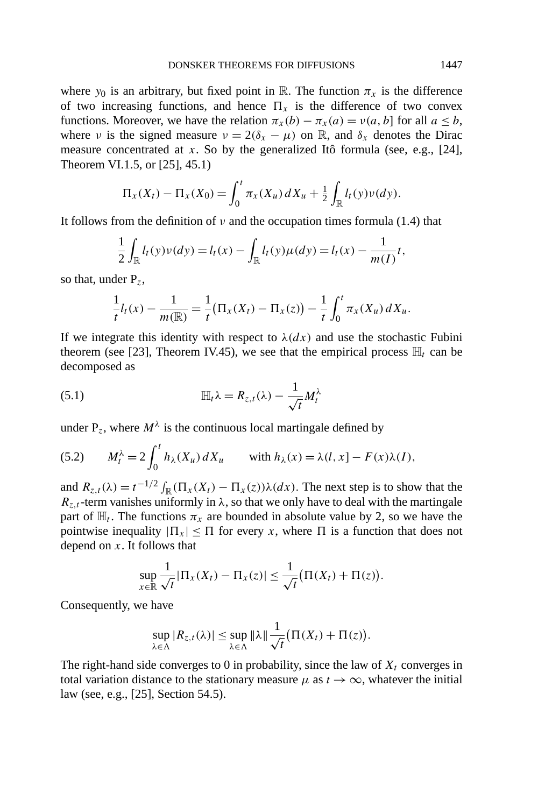where  $y_0$  is an arbitrary, but fixed point in R. The function  $\pi_x$  is the difference of two increasing functions, and hence  $\Pi_x$  is the difference of two convex functions. Moreover, we have the relation  $\pi_x(b) - \pi_x(a) = v(a, b)$  for all  $a \leq b$ , where *ν* is the signed measure  $v = 2(\delta_x - \mu)$  on R, and  $\delta_x$  denotes the Dirac measure concentrated at *x*. So by the generalized Itô formula (see, e.g., [24], Theorem VI.1.5, or [25], 45.1)

$$
\Pi_x(X_t) - \Pi_x(X_0) = \int_0^t \pi_x(X_u) \, dX_u + \frac{1}{2} \int_{\mathbb{R}} l_t(y) \nu(dy).
$$

It follows from the definition of *ν* and the occupation times formula (1.4) that

$$
\frac{1}{2}\int_{\mathbb{R}}l_{t}(y)\nu(dy) = l_{t}(x) - \int_{\mathbb{R}}l_{t}(y)\mu(dy) = l_{t}(x) - \frac{1}{m(I)}t,
$$

so that, under P*z*,

$$
\frac{1}{t}l_t(x) - \frac{1}{m(\mathbb{R})} = \frac{1}{t}(\Pi_x(X_t) - \Pi_x(z)) - \frac{1}{t}\int_0^t \pi_x(X_u) dX_u.
$$

If we integrate this identity with respect to  $\lambda(dx)$  and use the stochastic Fubini theorem (see [23], Theorem IV.45), we see that the empirical process  $\mathbb{H}_t$  can be decomposed as

(5.1) 
$$
\mathbb{H}_t \lambda = R_{z,t}(\lambda) - \frac{1}{\sqrt{t}} M_t^{\lambda}
$$

under  $P_z$ , where  $M<sup>\lambda</sup>$  is the continuous local martingale defined by

(5.2) 
$$
M_t^{\lambda} = 2 \int_0^t h_{\lambda}(X_u) dX_u \quad \text{with } h_{\lambda}(x) = \lambda(l, x) - F(x)\lambda(l),
$$

and  $R_{z,t}(\lambda) = t^{-1/2} \int_{\mathbb{R}} (\Pi_x(X_t) - \Pi_x(z)) \lambda(dx)$ . The next step is to show that the  $R_{z,t}$ -term vanishes uniformly in  $\lambda$ , so that we only have to deal with the martingale part of  $\mathbb{H}_t$ . The functions  $\pi_x$  are bounded in absolute value by 2, so we have the pointwise inequality  $|\Pi_x| \leq \Pi$  for every *x*, where  $\Pi$  is a function that does not depend on *x*. It follows that

$$
\sup_{x\in\mathbb{R}}\frac{1}{\sqrt{t}}|\Pi_x(X_t)-\Pi_x(z)|\leq \frac{1}{\sqrt{t}}(\Pi(X_t)+\Pi(z)).
$$

Consequently, we have

$$
\sup_{\lambda \in \Lambda} |R_{z,t}(\lambda)| \leq \sup_{\lambda \in \Lambda} \|\lambda\| \frac{1}{\sqrt{t}} \big( \Pi(X_t) + \Pi(z) \big).
$$

The right-hand side converges to 0 in probability, since the law of  $X_t$  converges in total variation distance to the stationary measure  $\mu$  as  $t \to \infty$ , whatever the initial law (see, e.g., [25], Section 54.5).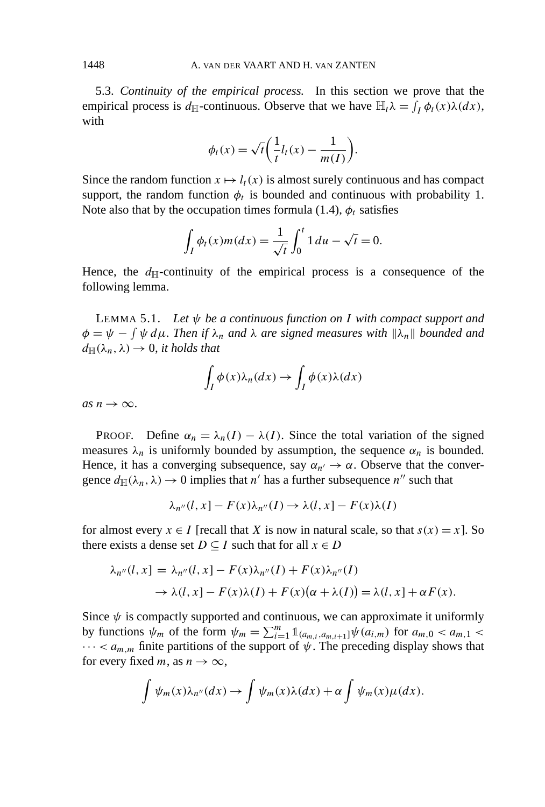5.3. *Continuity of the empirical process.* In this section we prove that the empirical process is  $d_{\mathbb{H}}$ -continuous. Observe that we have  $\mathbb{H}_t \lambda = \int_I \phi_t(x) \lambda(dx)$ , with

$$
\phi_t(x) = \sqrt{t} \left( \frac{1}{t} l_t(x) - \frac{1}{m(I)} \right).
$$

Since the random function  $x \mapsto l_t(x)$  is almost surely continuous and has compact support, the random function  $\phi_t$  is bounded and continuous with probability 1. Note also that by the occupation times formula (1.4),  $\phi_t$  satisfies

$$
\int_{I} \phi_{t}(x) m(dx) = \frac{1}{\sqrt{t}} \int_{0}^{t} 1 du - \sqrt{t} = 0.
$$

Hence, the  $d_{\mathbb{H}}$ -continuity of the empirical process is a consequence of the following lemma.

LEMMA 5.1. *Let ψ be a continuous function on I with compact support and*  $\phi = \psi - \int \psi \, d\mu$ . Then if  $\lambda_n$  and  $\lambda$  are signed measures with  $\|\lambda_n\|$  bounded and  $d_{\mathbb{H}}(\lambda_n, \lambda) \rightarrow 0$ , *it holds that* 

$$
\int_I \phi(x)\lambda_n(dx) \to \int_I \phi(x)\lambda(dx)
$$

 $as n \rightarrow \infty$ .

PROOF. Define  $\alpha_n = \lambda_n(I) - \lambda(I)$ . Since the total variation of the signed measures  $\lambda_n$  is uniformly bounded by assumption, the sequence  $\alpha_n$  is bounded. Hence, it has a converging subsequence, say  $\alpha_{n'} \to \alpha$ . Observe that the convergence  $d_{\mathbb{H}}(\lambda_n, \lambda) \to 0$  implies that *n'* has a further subsequence *n''* such that

$$
\lambda_{n''}(l, x] - F(x)\lambda_{n''}(I) \to \lambda(l, x] - F(x)\lambda(I)
$$

for almost every  $x \in I$  [recall that *X* is now in natural scale, so that  $s(x) = x$ ]. So there exists a dense set  $D \subseteq I$  such that for all  $x \in D$ 

$$
\lambda_{n''}(l, x] = \lambda_{n''}(l, x] - F(x)\lambda_{n''}(I) + F(x)\lambda_{n''}(I)
$$
  
\n
$$
\rightarrow \lambda(l, x] - F(x)\lambda(I) + F(x)(\alpha + \lambda(I)) = \lambda(l, x] + \alpha F(x).
$$

Since  $\psi$  is compactly supported and continuous, we can approximate it uniformly by functions  $\psi_m$  of the form  $\psi_m = \sum_{i=1}^m \mathbb{1}_{(a_{m,i},a_{m,i+1}]} \psi(a_{i,m})$  for  $a_{m,0} < a_{m,1} <$  $\cdots < a_{m,m}$  finite partitions of the support of  $\psi$ . The preceding display shows that for every fixed *m*, as  $n \to \infty$ ,

$$
\int \psi_m(x) \lambda_{n''}(dx) \to \int \psi_m(x) \lambda(dx) + \alpha \int \psi_m(x) \mu(dx).
$$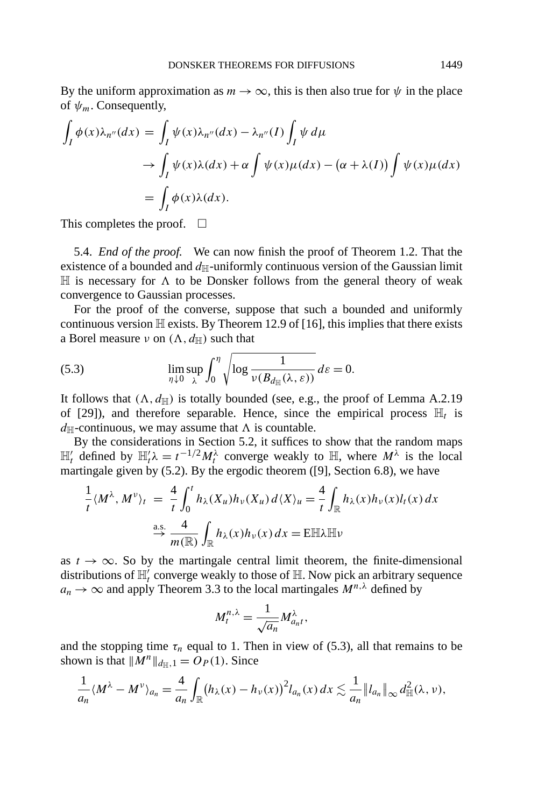By the uniform approximation as  $m \to \infty$ , this is then also true for  $\psi$  in the place of *ψm*. Consequently,

$$
\int_I \phi(x) \lambda_{n''}(dx) = \int_I \psi(x) \lambda_{n''}(dx) - \lambda_{n''}(I) \int_I \psi d\mu
$$
  
\n
$$
\to \int_I \psi(x) \lambda(dx) + \alpha \int \psi(x) \mu(dx) - (\alpha + \lambda(I)) \int \psi(x) \mu(dx)
$$
  
\n
$$
= \int_I \phi(x) \lambda(dx).
$$

This completes the proof.  $\Box$ 

5.4. *End of the proof.* We can now finish the proof of Theorem 1.2. That the existence of a bounded and  $d_{\mathbb{H}}$ -uniformly continuous version of the Gaussian limit  $\mathbb H$  is necessary for  $\Lambda$  to be Donsker follows from the general theory of weak convergence to Gaussian processes.

For the proof of the converse, suppose that such a bounded and uniformly continuous version  $\mathbb H$  exists. By Theorem 12.9 of [16], this implies that there exists a Borel measure *ν* on  $(\Lambda, d_{\mathbb{H}})$  such that

(5.3) 
$$
\lim_{\eta \downarrow 0} \sup_{\lambda} \int_0^{\eta} \sqrt{\log \frac{1}{\nu(B_{d_{\mathbb{H}}}(\lambda, \varepsilon))}} d\varepsilon = 0.
$$

It follows that  $(\Lambda, d_{\mathbb{H}})$  is totally bounded (see, e.g., the proof of Lemma A.2.19) of [29]), and therefore separable. Hence, since the empirical process  $\mathbb{H}_t$  is  $d_{\mathbb{H}}$ -continuous, we may assume that  $\Lambda$  is countable.

By the considerations in Section 5.2, it suffices to show that the random maps  $\mathbb{H}'_t$  defined by  $\mathbb{H}'_t \lambda = t^{-1/2} M_t^{\lambda}$  converge weakly to  $\mathbb{H}$ , where  $M^{\lambda}$  is the local martingale given by (5.2). By the ergodic theorem ([9], Section 6.8), we have

$$
\frac{1}{t} \langle M^{\lambda}, M^{\nu} \rangle_t = \frac{4}{t} \int_0^t h_{\lambda}(X_u) h_{\nu}(X_u) d\langle X \rangle_u = \frac{4}{t} \int_{\mathbb{R}} h_{\lambda}(x) h_{\nu}(x) l_t(x) dx
$$

$$
\xrightarrow{\text{a.s.}} \frac{4}{m(\mathbb{R})} \int_{\mathbb{R}} h_{\lambda}(x) h_{\nu}(x) dx = \text{EHTL}
$$

as  $t \to \infty$ . So by the martingale central limit theorem, the finite-dimensional distributions of  $\mathbb{H}_t'$  converge weakly to those of  $\mathbb{H}$ . Now pick an arbitrary sequence  $a_n \to \infty$  and apply Theorem 3.3 to the local martingales  $M^{n,\lambda}$  defined by

$$
M_t^{n,\lambda} = \frac{1}{\sqrt{a_n}} M_{a_n t}^{\lambda},
$$

and the stopping time  $\tau_n$  equal to 1. Then in view of (5.3), all that remains to be shown is that  $||M^n||_{d_H,1} = O_P(1)$ . Since

$$
\frac{1}{a_n}\langle M^{\lambda}-M^{\nu}\rangle_{a_n}=\frac{4}{a_n}\int_{\mathbb{R}}(h_{\lambda}(x)-h_{\nu}(x))^2l_{a_n}(x)\,dx\lesssim \frac{1}{a_n}\|l_{a_n}\|_{\infty}\,d_{\mathbb{H}}^2(\lambda,\nu),
$$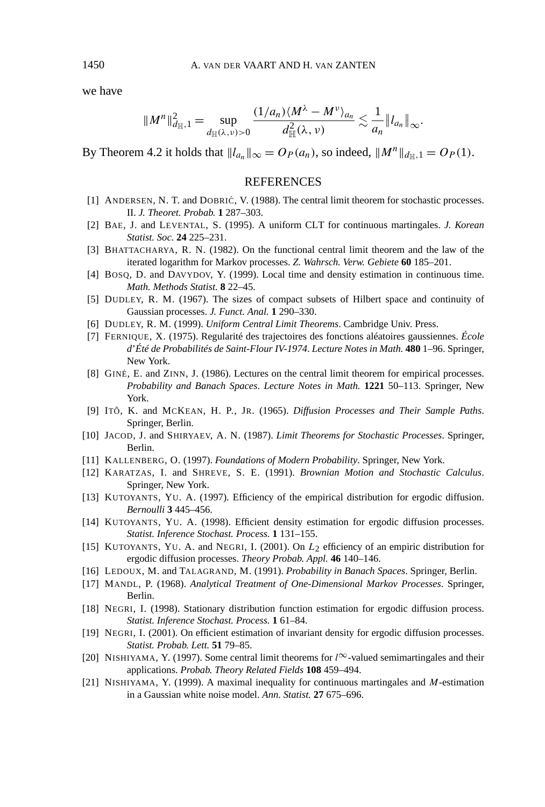we have

$$
||M^n||_{d\mathbb{H},1}^2=\sup_{d_{\mathbb{H}}(\lambda,\nu)>0}\frac{(1/a_n)\langle M^\lambda-M^\nu\rangle_{a_n}}{d_{\mathbb{H}}^2(\lambda,\nu)}\lesssim\frac{1}{a_n}||l_{a_n}||_{\infty}.
$$

By Theorem 4.2 it holds that  $||l_{a_n}||_{\infty} = O_P(a_n)$ , so indeed,  $||M^n||_{d_{\mathbb{H}},1} = O_P(1)$ .

## **REFERENCES**

- [1] ANDERSEN, N. T. and DOBRIĆ, V. (1988). The central limit theorem for stochastic processes. II. *J. Theoret. Probab.* **1** 287–303.
- [2] BAE, J. and LEVENTAL, S. (1995). A uniform CLT for continuous martingales. *J. Korean Statist. Soc.* **24** 225–231.
- [3] BHATTACHARYA, R. N. (1982). On the functional central limit theorem and the law of the iterated logarithm for Markov processes. *Z. Wahrsch. Verw. Gebiete* **60** 185–201.
- [4] BOSQ, D. and DAVYDOV, Y. (1999). Local time and density estimation in continuous time. *Math. Methods Statist.* **8** 22–45.
- [5] DUDLEY, R. M. (1967). The sizes of compact subsets of Hilbert space and continuity of Gaussian processes. *J. Funct. Anal.* **1** 290–330.
- [6] DUDLEY, R. M. (1999). *Uniform Central Limit Theorems*. Cambridge Univ. Press.
- [7] FERNIQUE, X. (1975). Regularité des trajectoires des fonctions aléatoires gaussiennes. *École d*'*Été de Probabilités de Saint-Flour IV-1974*. *Lecture Notes in Math.* **480** 1–96. Springer, New York.
- [8] GINÉ, E. and ZINN, J. (1986). Lectures on the central limit theorem for empirical processes. *Probability and Banach Spaces*. *Lecture Notes in Math.* **1221** 50–113. Springer, New York.
- [9] ITÔ, K. and MCKEAN, H. P., JR. (1965). *Diffusion Processes and Their Sample Paths*. Springer, Berlin.
- [10] JACOD, J. and SHIRYAEV, A. N. (1987). *Limit Theorems for Stochastic Processes*. Springer, Berlin.
- [11] KALLENBERG, O. (1997). *Foundations of Modern Probability*. Springer, New York.
- [12] KARATZAS, I. and SHREVE, S. E. (1991). *Brownian Motion and Stochastic Calculus*. Springer, New York.
- [13] KUTOYANTS, YU. A. (1997). Efficiency of the empirical distribution for ergodic diffusion. *Bernoulli* **3** 445–456.
- [14] KUTOYANTS, YU. A. (1998). Efficient density estimation for ergodic diffusion processes. *Statist. Inference Stochast. Process.* **1** 131–155.
- [15] KUTOYANTS, YU. A. and NEGRI, I. (2001). On *L*2 efficiency of an empiric distribution for ergodic diffusion processes. *Theory Probab. Appl.* **46** 140–146.
- [16] LEDOUX, M. and TALAGRAND, M. (1991). *Probability in Banach Spaces*. Springer, Berlin.
- [17] MANDL, P. (1968). *Analytical Treatment of One-Dimensional Markov Processes*. Springer, Berlin.
- [18] NEGRI, I. (1998). Stationary distribution function estimation for ergodic diffusion process. *Statist. Inference Stochast. Process.* **1** 61–84.
- [19] NEGRI, I. (2001). On efficient estimation of invariant density for ergodic diffusion processes. *Statist. Probab. Lett.* **51** 79–85.
- [20] NISHIYAMA, Y. (1997). Some central limit theorems for *l* <sup>∞</sup>-valued semimartingales and their applications. *Probab. Theory Related Fields* **108** 459–494.
- [21] NISHIYAMA, Y. (1999). A maximal inequality for continuous martingales and *M*-estimation in a Gaussian white noise model. *Ann. Statist.* **27** 675–696.